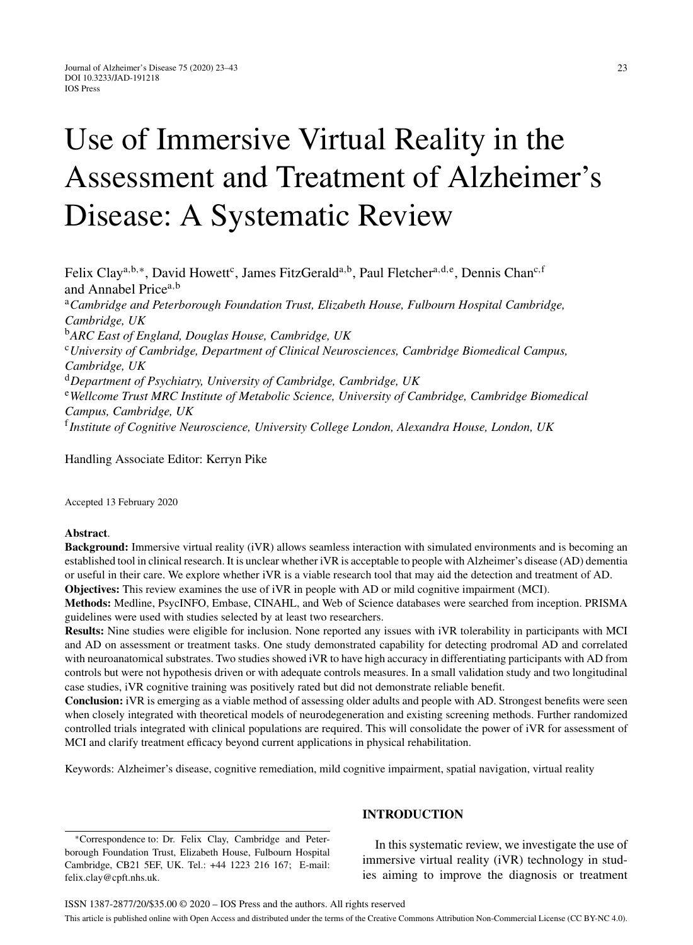# Use of Immersive Virtual Reality in the Assessment and Treatment of Alzheimer's Disease: A Systematic Review

Felix Clay<sup>a,b,∗</sup>, David Howett<sup>c</sup>, James FitzGerald<sup>a,b</sup>, Paul Fletcher<sup>a,d,e</sup>, Dennis Chan<sup>c,f</sup> and Annabel Price<sup>a,b</sup> <sup>a</sup>*Cambridge and Peterborough Foundation Trust, Elizabeth House, Fulbourn Hospital Cambridge, Cambridge, UK* <sup>b</sup>*ARC East of England, Douglas House, Cambridge, UK* <sup>c</sup>*University of Cambridge, Department of Clinical Neurosciences, Cambridge Biomedical Campus, Cambridge, UK* <sup>d</sup>*Department of Psychiatry, University of Cambridge, Cambridge, UK* <sup>e</sup>*Wellcome Trust MRC Institute of Metabolic Science, University of Cambridge, Cambridge Biomedical Campus, Cambridge, UK* <sup>f</sup>*Institute of Cognitive Neuroscience, University College London, Alexandra House, London, UK*

Handling Associate Editor: Kerryn Pike

Accepted 13 February 2020

#### **Abstract**.

**Background:** Immersive virtual reality (iVR) allows seamless interaction with simulated environments and is becoming an established tool in clinical research. It is unclear whether iVR is acceptable to people with Alzheimer's disease (AD) dementia or useful in their care. We explore whether iVR is a viable research tool that may aid the detection and treatment of AD. **Objectives:** This review examines the use of iVR in people with AD or mild cognitive impairment (MCI).

**Methods:** Medline, PsycINFO, Embase, CINAHL, and Web of Science databases were searched from inception. PRISMA guidelines were used with studies selected by at least two researchers.

**Results:** Nine studies were eligible for inclusion. None reported any issues with iVR tolerability in participants with MCI and AD on assessment or treatment tasks. One study demonstrated capability for detecting prodromal AD and correlated with neuroanatomical substrates. Two studies showed iVR to have high accuracy in differentiating participants with AD from controls but were not hypothesis driven or with adequate controls measures. In a small validation study and two longitudinal case studies, iVR cognitive training was positively rated but did not demonstrate reliable benefit.

**Conclusion:** iVR is emerging as a viable method of assessing older adults and people with AD. Strongest benefits were seen when closely integrated with theoretical models of neurodegeneration and existing screening methods. Further randomized controlled trials integrated with clinical populations are required. This will consolidate the power of iVR for assessment of MCI and clarify treatment efficacy beyond current applications in physical rehabilitation.

Keywords: Alzheimer's disease, cognitive remediation, mild cognitive impairment, spatial navigation, virtual reality

∗Correspondence to: Dr. Felix Clay, Cambridge and Peterborough Foundation Trust, Elizabeth House, Fulbourn Hospital Cambridge, CB21 5EF, UK. Tel.: +44 1223 216 167; E-mail: [felix.clay@cpft.nhs.uk.](mailto:felix.clay@cpft.nhs.uk)

## **INTRODUCTION**

In this systematic review, we investigate the use of immersive virtual reality (iVR) technology in studies aiming to improve the diagnosis or treatment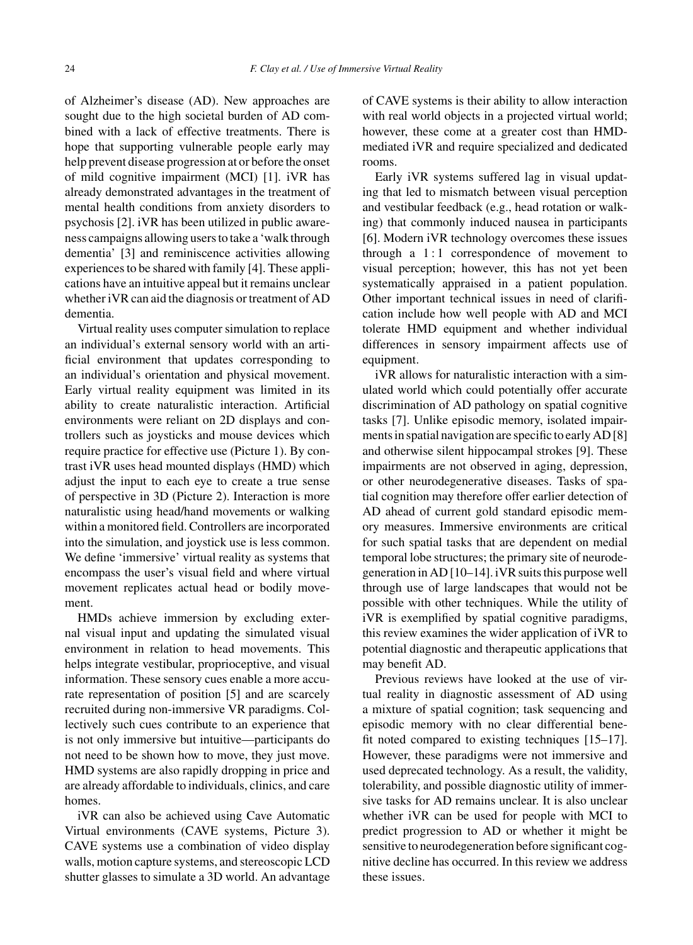of Alzheimer's disease (AD). New approaches are sought due to the high societal burden of AD combined with a lack of effective treatments. There is hope that supporting vulnerable people early may help prevent disease progression at or before the onset of mild cognitive impairment (MCI) [1]. iVR has already demonstrated advantages in the treatment of mental health conditions from anxiety disorders to psychosis [2]. iVR has been utilized in public awareness campaigns allowing users to take a 'walk through dementia' [3] and reminiscence activities allowing experiences to be shared with family [4]. These applications have an intuitive appeal but it remains unclear whether iVR can aid the diagnosis or treatment of AD dementia.

Virtual reality uses computer simulation to replace an individual's external sensory world with an artificial environment that updates corresponding to an individual's orientation and physical movement. Early virtual reality equipment was limited in its ability to create naturalistic interaction. Artificial environments were reliant on 2D displays and controllers such as joysticks and mouse devices which require practice for effective use (Picture 1). By contrast iVR uses head mounted displays (HMD) which adjust the input to each eye to create a true sense of perspective in 3D (Picture 2). Interaction is more naturalistic using head/hand movements or walking within a monitored field. Controllers are incorporated into the simulation, and joystick use is less common. We define 'immersive' virtual reality as systems that encompass the user's visual field and where virtual movement replicates actual head or bodily movement.

HMDs achieve immersion by excluding external visual input and updating the simulated visual environment in relation to head movements. This helps integrate vestibular, proprioceptive, and visual information. These sensory cues enable a more accurate representation of position [5] and are scarcely recruited during non-immersive VR paradigms. Collectively such cues contribute to an experience that is not only immersive but intuitive—participants do not need to be shown how to move, they just move. HMD systems are also rapidly dropping in price and are already affordable to individuals, clinics, and care homes.

iVR can also be achieved using Cave Automatic Virtual environments (CAVE systems, Picture 3). CAVE systems use a combination of video display walls, motion capture systems, and stereoscopic LCD shutter glasses to simulate a 3D world. An advantage of CAVE systems is their ability to allow interaction with real world objects in a projected virtual world; however, these come at a greater cost than HMDmediated iVR and require specialized and dedicated rooms.

Early iVR systems suffered lag in visual updating that led to mismatch between visual perception and vestibular feedback (e.g., head rotation or walking) that commonly induced nausea in participants [6]. Modern iVR technology overcomes these issues through a  $1:1$  correspondence of movement to visual perception; however, this has not yet been systematically appraised in a patient population. Other important technical issues in need of clarification include how well people with AD and MCI tolerate HMD equipment and whether individual differences in sensory impairment affects use of equipment.

iVR allows for naturalistic interaction with a simulated world which could potentially offer accurate discrimination of AD pathology on spatial cognitive tasks [7]. Unlike episodic memory, isolated impairments in spatial navigation are specific to early AD [8] and otherwise silent hippocampal strokes [9]. These impairments are not observed in aging, depression, or other neurodegenerative diseases. Tasks of spatial cognition may therefore offer earlier detection of AD ahead of current gold standard episodic memory measures. Immersive environments are critical for such spatial tasks that are dependent on medial temporal lobe structures; the primary site of neurodegeneration in AD [10–14]. iVR suits this purpose well through use of large landscapes that would not be possible with other techniques. While the utility of iVR is exemplified by spatial cognitive paradigms, this review examines the wider application of iVR to potential diagnostic and therapeutic applications that may benefit AD.

Previous reviews have looked at the use of virtual reality in diagnostic assessment of AD using a mixture of spatial cognition; task sequencing and episodic memory with no clear differential benefit noted compared to existing techniques [15–17]. However, these paradigms were not immersive and used deprecated technology. As a result, the validity, tolerability, and possible diagnostic utility of immersive tasks for AD remains unclear. It is also unclear whether iVR can be used for people with MCI to predict progression to AD or whether it might be sensitive to neurodegeneration before significant cognitive decline has occurred. In this review we address these issues.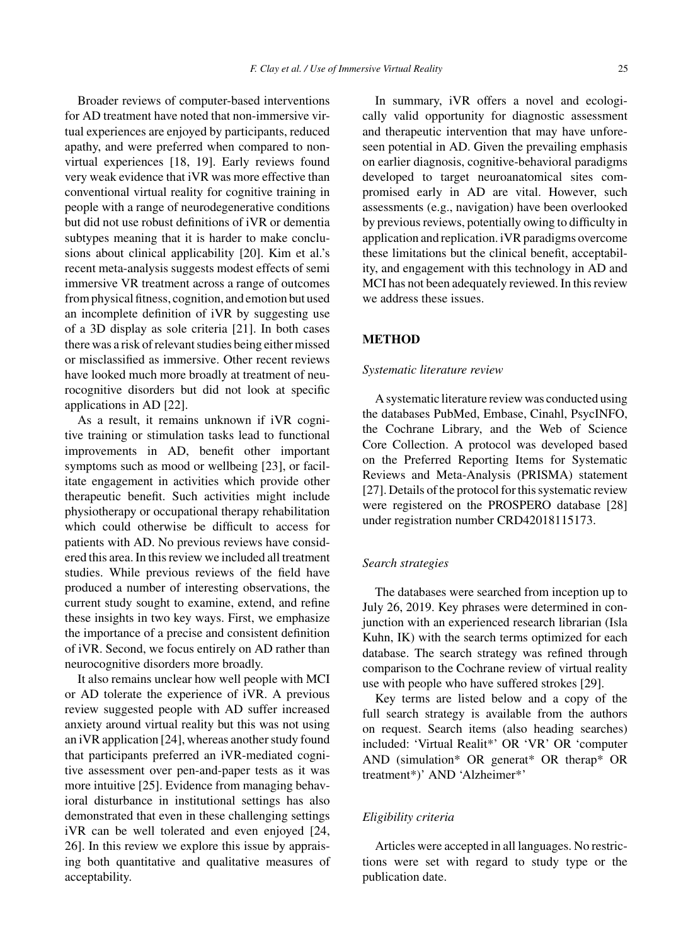Broader reviews of computer-based interventions for AD treatment have noted that non-immersive virtual experiences are enjoyed by participants, reduced apathy, and were preferred when compared to nonvirtual experiences [18, 19]. Early reviews found very weak evidence that iVR was more effective than conventional virtual reality for cognitive training in people with a range of neurodegenerative conditions but did not use robust definitions of iVR or dementia subtypes meaning that it is harder to make conclusions about clinical applicability [20]. Kim et al.'s recent meta-analysis suggests modest effects of semi immersive VR treatment across a range of outcomes from physical fitness, cognition, and emotion but used an incomplete definition of iVR by suggesting use of a 3D display as sole criteria [21]. In both cases there was a risk of relevant studies being either missed or misclassified as immersive. Other recent reviews have looked much more broadly at treatment of neurocognitive disorders but did not look at specific applications in AD [22].

As a result, it remains unknown if iVR cognitive training or stimulation tasks lead to functional improvements in AD, benefit other important symptoms such as mood or wellbeing [23], or facilitate engagement in activities which provide other therapeutic benefit. Such activities might include physiotherapy or occupational therapy rehabilitation which could otherwise be difficult to access for patients with AD. No previous reviews have considered this area. In this review we included all treatment studies. While previous reviews of the field have produced a number of interesting observations, the current study sought to examine, extend, and refine these insights in two key ways. First, we emphasize the importance of a precise and consistent definition of iVR. Second, we focus entirely on AD rather than neurocognitive disorders more broadly.

It also remains unclear how well people with MCI or AD tolerate the experience of iVR. A previous review suggested people with AD suffer increased anxiety around virtual reality but this was not using an iVR application [24], whereas another study found that participants preferred an iVR-mediated cognitive assessment over pen-and-paper tests as it was more intuitive [25]. Evidence from managing behavioral disturbance in institutional settings has also demonstrated that even in these challenging settings iVR can be well tolerated and even enjoyed [24, 26]. In this review we explore this issue by appraising both quantitative and qualitative measures of acceptability.

In summary, iVR offers a novel and ecologically valid opportunity for diagnostic assessment and therapeutic intervention that may have unforeseen potential in AD. Given the prevailing emphasis on earlier diagnosis, cognitive-behavioral paradigms developed to target neuroanatomical sites compromised early in AD are vital. However, such assessments (e.g., navigation) have been overlooked by previous reviews, potentially owing to difficulty in application and replication. iVR paradigms overcome these limitations but the clinical benefit, acceptability, and engagement with this technology in AD and MCI has not been adequately reviewed. In this review we address these issues.

# **METHOD**

#### *Systematic literature review*

A systematic literature review was conducted using the databases PubMed, Embase, Cinahl, PsycINFO, the Cochrane Library, and the Web of Science Core Collection. A protocol was developed based on the Preferred Reporting Items for Systematic Reviews and Meta-Analysis (PRISMA) statement [27]. Details of the protocol for this systematic review were registered on the PROSPERO database [28] under registration number CRD42018115173.

#### *Search strategies*

The databases were searched from inception up to July 26, 2019. Key phrases were determined in conjunction with an experienced research librarian (Isla Kuhn, IK) with the search terms optimized for each database. The search strategy was refined through comparison to the Cochrane review of virtual reality use with people who have suffered strokes [29].

Key terms are listed below and a copy of the full search strategy is available from the authors on request. Search items (also heading searches) included: 'Virtual Realit\*' OR 'VR' OR 'computer AND (simulation\* OR generat\* OR therap\* OR treatment\*)' AND 'Alzheimer\*'

# *Eligibility criteria*

Articles were accepted in all languages. No restrictions were set with regard to study type or the publication date.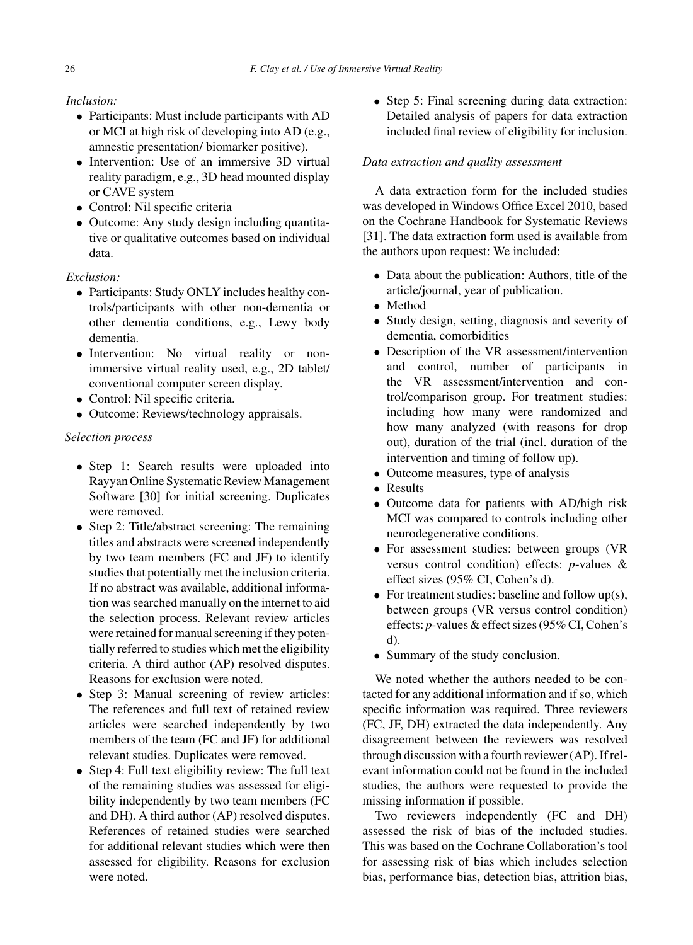# *Inclusion:*

- Participants: Must include participants with AD or MCI at high risk of developing into AD (e.g., amnestic presentation/ biomarker positive).
- Intervention: Use of an immersive 3D virtual reality paradigm, e.g., 3D head mounted display or CAVE system
- Control: Nil specific criteria
- Outcome: Any study design including quantitative or qualitative outcomes based on individual data.

# *Exclusion:*

- Participants: Study ONLY includes healthy controls/participants with other non-dementia or other dementia conditions, e.g., Lewy body dementia.
- Intervention: No virtual reality or nonimmersive virtual reality used, e.g., 2D tablet/ conventional computer screen display.
- Control: Nil specific criteria.
- Outcome: Reviews/technology appraisals.

# *Selection process*

- Step 1: Search results were uploaded into Rayyan Online Systematic Review Management Software [30] for initial screening. Duplicates were removed.
- Step 2: Title/abstract screening: The remaining titles and abstracts were screened independently by two team members (FC and JF) to identify studies that potentially met the inclusion criteria. If no abstract was available, additional information was searched manually on the internet to aid the selection process. Relevant review articles were retained for manual screening if they potentially referred to studies which met the eligibility criteria. A third author (AP) resolved disputes. Reasons for exclusion were noted.
- Step 3: Manual screening of review articles: The references and full text of retained review articles were searched independently by two members of the team (FC and JF) for additional relevant studies. Duplicates were removed.
- Step 4: Full text eligibility review: The full text of the remaining studies was assessed for eligibility independently by two team members (FC and DH). A third author (AP) resolved disputes. References of retained studies were searched for additional relevant studies which were then assessed for eligibility. Reasons for exclusion were noted.

• Step 5: Final screening during data extraction: Detailed analysis of papers for data extraction included final review of eligibility for inclusion.

#### *Data extraction and quality assessment*

A data extraction form for the included studies was developed in Windows Office Excel 2010, based on the Cochrane Handbook for Systematic Reviews [31]. The data extraction form used is available from the authors upon request: We included:

- Data about the publication: Authors, title of the article/journal, year of publication.
- Method
- Study design, setting, diagnosis and severity of dementia, comorbidities
- Description of the VR assessment/intervention and control, number of participants in the VR assessment/intervention and control/comparison group. For treatment studies: including how many were randomized and how many analyzed (with reasons for drop out), duration of the trial (incl. duration of the intervention and timing of follow up).
- Outcome measures, type of analysis
- Results
- Outcome data for patients with AD/high risk MCI was compared to controls including other neurodegenerative conditions.
- For assessment studies: between groups (VR versus control condition) effects: *p*-values & effect sizes (95% CI, Cohen's d).
- For treatment studies: baseline and follow  $up(s)$ , between groups (VR versus control condition) effects: *p*-values & effect sizes (95% CI, Cohen's d).
- Summary of the study conclusion.

We noted whether the authors needed to be contacted for any additional information and if so, which specific information was required. Three reviewers (FC, JF, DH) extracted the data independently. Any disagreement between the reviewers was resolved through discussion with a fourth reviewer (AP). If relevant information could not be found in the included studies, the authors were requested to provide the missing information if possible.

Two reviewers independently (FC and DH) assessed the risk of bias of the included studies. This was based on the Cochrane Collaboration's tool for assessing risk of bias which includes selection bias, performance bias, detection bias, attrition bias,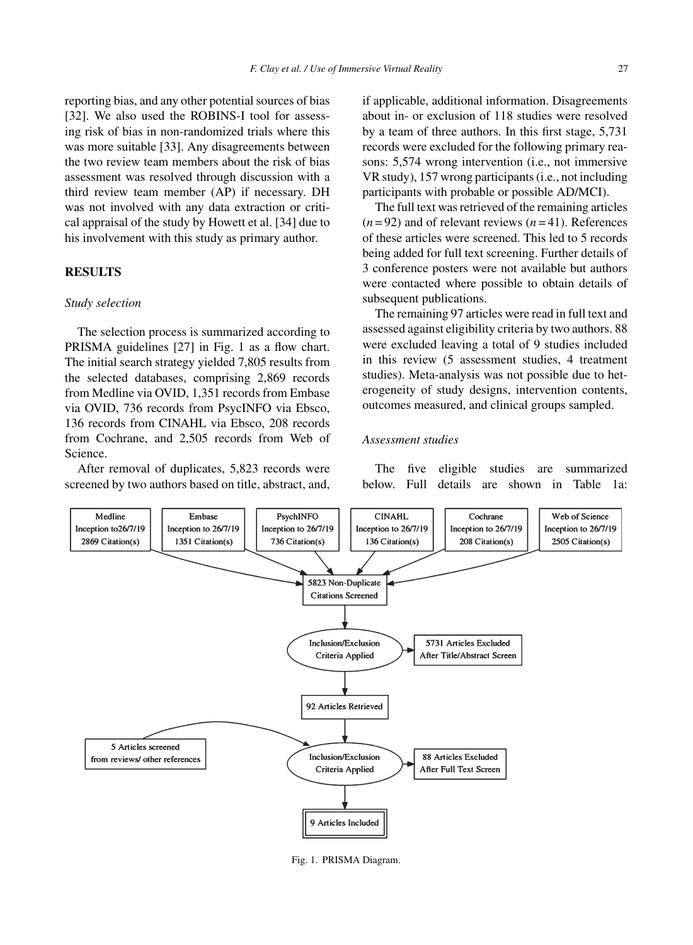reporting bias, and any other potential sources of bias [32]. We also used the ROBINS-I tool for assessing risk of bias in non-randomized trials where this was more suitable [33]. Any disagreements between the two review team members about the risk of bias assessment was resolved through discussion with a third review team member (AP) if necessary. DH was not involved with any data extraction or critical appraisal of the study by Howett et al. [34] due to his involvement with this study as primary author.

# **RESULTS**

#### *Study selection*

The selection process is summarized according to PRISMA guidelines [27] in Fig. 1 as a flow chart. The initial search strategy yielded 7,805 results from the selected databases, comprising 2,869 records from Medline via OVID, 1,351 records from Embase via OVID, 736 records from PsycINFO via Ebsco, 136 records from CINAHL via Ebsco, 208 records from Cochrane, and 2,505 records from Web of Science.

After removal of duplicates, 5,823 records were screened by two authors based on title, abstract, and, if applicable, additional information. Disagreements about in- or exclusion of 118 studies were resolved by a team of three authors. In this first stage, 5,731 records were excluded for the following primary reasons: 5,574 wrong intervention (i.e., not immersive VR study), 157 wrong participants (i.e., not including participants with probable or possible AD/MCI).

The full text was retrieved of the remaining articles  $(n=92)$  and of relevant reviews  $(n=41)$ . References of these articles were screened. This led to 5 records being added for full text screening. Further details of 3 conference posters were not available but authors were contacted where possible to obtain details of subsequent publications.

The remaining 97 articles were read in full text and assessed against eligibility criteria by two authors. 88 were excluded leaving a total of 9 studies included in this review (5 assessment studies, 4 treatment studies). Meta-analysis was not possible due to heterogeneity of study designs, intervention contents, outcomes measured, and clinical groups sampled.

#### *Assessment studies*

The five eligible studies are summarized below. Full details are shown in Table 1a:



Fig. 1. PRISMA Diagram.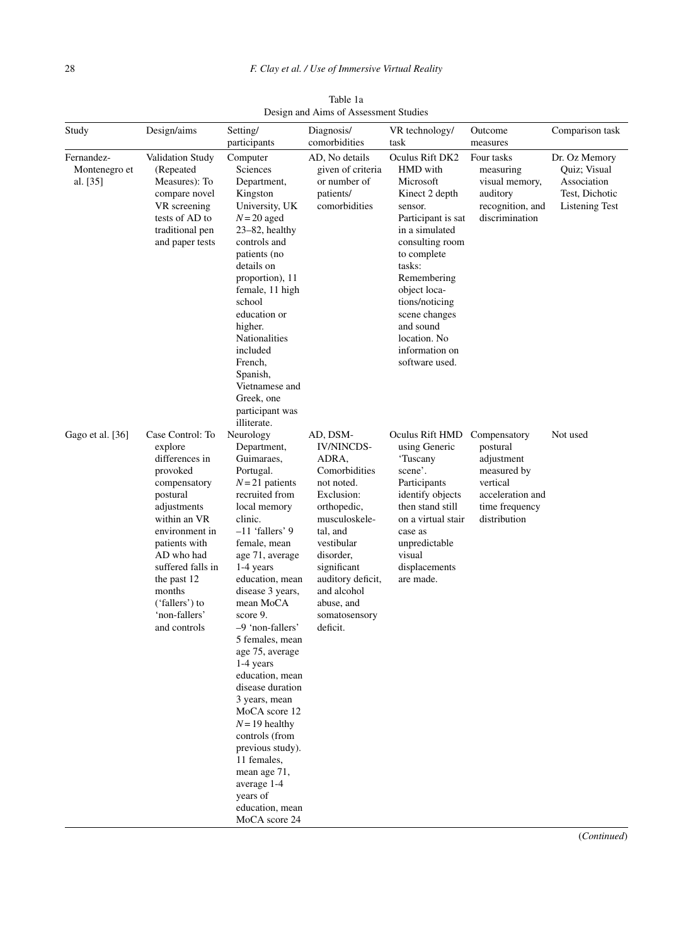| Study                                   | Design/aims                                                                                                                                                                                                                                                            | o<br>Setting/<br>participants                                                                                                                                                                                                                                                                                                                                                                                                                                                                                                                                        | Diagnosis/<br>comorbidities                                                                                                                                                                                                                              | VR technology/<br>task                                                                                                                                                                                                                                                                       | Outcome<br>measures                                                                                     | Comparison task                                                                         |
|-----------------------------------------|------------------------------------------------------------------------------------------------------------------------------------------------------------------------------------------------------------------------------------------------------------------------|----------------------------------------------------------------------------------------------------------------------------------------------------------------------------------------------------------------------------------------------------------------------------------------------------------------------------------------------------------------------------------------------------------------------------------------------------------------------------------------------------------------------------------------------------------------------|----------------------------------------------------------------------------------------------------------------------------------------------------------------------------------------------------------------------------------------------------------|----------------------------------------------------------------------------------------------------------------------------------------------------------------------------------------------------------------------------------------------------------------------------------------------|---------------------------------------------------------------------------------------------------------|-----------------------------------------------------------------------------------------|
| Fernandez-<br>Montenegro et<br>al. [35] | Validation Study<br>(Repeated<br>Measures): To<br>compare novel<br>VR screening<br>tests of AD to<br>traditional pen<br>and paper tests                                                                                                                                | Computer<br>Sciences<br>Department,<br>Kingston<br>University, UK<br>$N = 20$ aged<br>23-82, healthy<br>controls and<br>patients (no<br>details on<br>proportion), 11<br>female, 11 high<br>school<br>education or<br>higher.<br>Nationalities<br>included<br>French,<br>Spanish,<br>Vietnamese and<br>Greek, one<br>participant was<br>illiterate.                                                                                                                                                                                                                  | AD, No details<br>given of criteria<br>or number of<br>patients/<br>comorbidities                                                                                                                                                                        | Oculus Rift DK2<br>HMD with<br>Microsoft<br>Kinect 2 depth<br>sensor.<br>Participant is sat<br>in a simulated<br>consulting room<br>to complete<br>tasks:<br>Remembering<br>object loca-<br>tions/noticing<br>scene changes<br>and sound<br>location. No<br>information on<br>software used. | Four tasks<br>measuring<br>visual memory,<br>auditory<br>recognition, and<br>discrimination             | Dr. Oz Memory<br>Quiz; Visual<br>Association<br>Test, Dichotic<br><b>Listening Test</b> |
| Gago et al. [36]                        | Case Control: To<br>explore<br>differences in<br>provoked<br>compensatory<br>postural<br>adjustments<br>within an VR<br>environment in<br>patients with<br>AD who had<br>suffered falls in<br>the past 12<br>months<br>('fallers') to<br>'non-fallers'<br>and controls | Neurology<br>Department,<br>Guimaraes,<br>Portugal.<br>$N = 21$ patients<br>recruited from<br>local memory<br>clinic.<br>$-11$ 'fallers' 9<br>female, mean<br>age 71, average<br>1-4 years<br>education, mean<br>disease 3 years,<br>mean MoCA<br>score 9.<br>-9 'non-fallers'<br>5 females, mean<br>age 75, average<br>$1-4$ years<br>education, mean<br>disease duration<br>3 years, mean<br>MoCA score 12<br>$N = 19$ healthy<br>controls (from<br>previous study).<br>11 females,<br>mean age 71,<br>average 1-4<br>years of<br>education, mean<br>MoCA score 24 | AD, DSM-<br><b>IV/NINCDS-</b><br>ADRA.<br>Comorbidities<br>not noted.<br>Exclusion:<br>orthopedic,<br>musculoskele-<br>tal, and<br>vestibular<br>disorder,<br>significant<br>auditory deficit,<br>and alcohol<br>abuse, and<br>somatosensory<br>deficit. | Oculus Rift HMD Compensatory<br>using Generic<br>'Tuscany<br>scene'.<br>Participants<br>identify objects<br>then stand still<br>on a virtual stair<br>case as<br>unpredictable<br>visual<br>displacements<br>are made.                                                                       | postural<br>adjustment<br>measured by<br>vertical<br>acceleration and<br>time frequency<br>distribution | Not used                                                                                |

Table 1a Design and Aims of Assessment Studies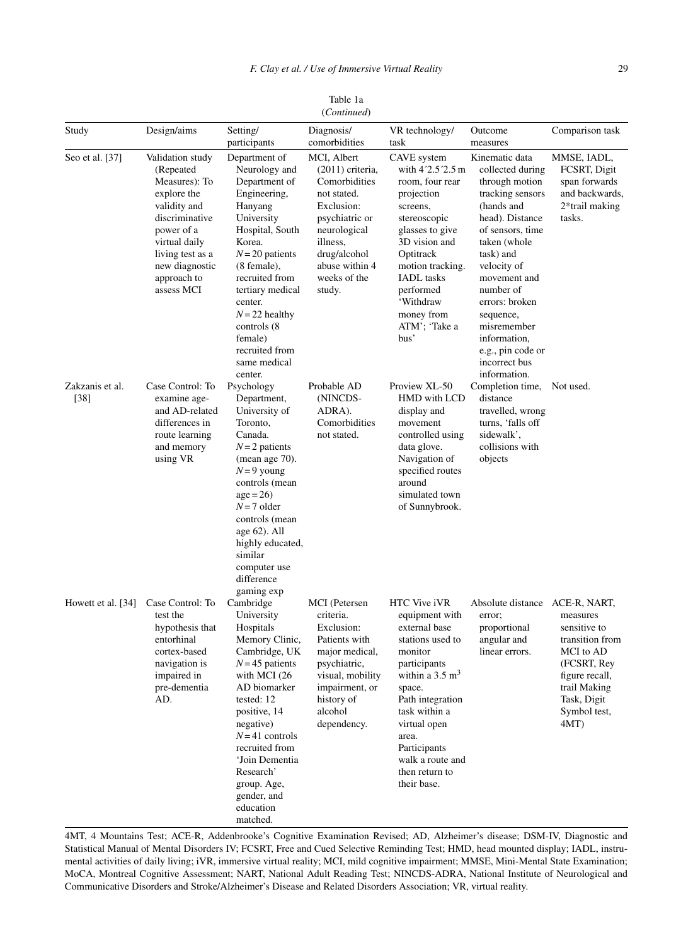|                         |                                                                                                                                                                                                   |                                                                                                                                                                                                                                                                                                                  | $($ Commuca $)$                                                                                                                                                                           |                                                                                                                                                                                                                                                                           |                                                                                                                                                                                                                                                                                                                            |                                                                                                                                                  |
|-------------------------|---------------------------------------------------------------------------------------------------------------------------------------------------------------------------------------------------|------------------------------------------------------------------------------------------------------------------------------------------------------------------------------------------------------------------------------------------------------------------------------------------------------------------|-------------------------------------------------------------------------------------------------------------------------------------------------------------------------------------------|---------------------------------------------------------------------------------------------------------------------------------------------------------------------------------------------------------------------------------------------------------------------------|----------------------------------------------------------------------------------------------------------------------------------------------------------------------------------------------------------------------------------------------------------------------------------------------------------------------------|--------------------------------------------------------------------------------------------------------------------------------------------------|
| Study                   | Design/aims                                                                                                                                                                                       | Setting/<br>participants                                                                                                                                                                                                                                                                                         | Diagnosis/<br>comorbidities                                                                                                                                                               | VR technology/<br>task                                                                                                                                                                                                                                                    | Outcome<br>measures                                                                                                                                                                                                                                                                                                        | Comparison task                                                                                                                                  |
| Seo et al. [37]         | Validation study<br>(Repeated<br>Measures): To<br>explore the<br>validity and<br>discriminative<br>power of a<br>virtual daily<br>living test as a<br>new diagnostic<br>approach to<br>assess MCI | Department of<br>Neurology and<br>Department of<br>Engineering,<br>Hanyang<br>University<br>Hospital, South<br>Korea.<br>$N = 20$ patients<br>(8 female),<br>recruited from<br>tertiary medical<br>center.<br>$N = 22$ healthy<br>controls (8)<br>female)<br>recruited from<br>same medical<br>center.           | MCI, Albert<br>$(2011)$ criteria,<br>Comorbidities<br>not stated.<br>Exclusion:<br>psychiatric or<br>neurological<br>illness,<br>drug/alcohol<br>abuse within 4<br>weeks of the<br>study. | CAVE system<br>with 4'2.5'2.5 m<br>room, four rear<br>projection<br>screens,<br>stereoscopic<br>glasses to give<br>3D vision and<br>Optitrack<br>motion tracking.<br><b>IADL</b> tasks<br>performed<br>'Withdraw<br>money from<br>ATM'; 'Take a<br>bus'                   | Kinematic data<br>collected during<br>through motion<br>tracking sensors<br>(hands and<br>head). Distance<br>of sensors, time<br>taken (whole<br>task) and<br>velocity of<br>movement and<br>number of<br>errors: broken<br>sequence,<br>misremember<br>information,<br>e.g., pin code or<br>incorrect bus<br>information. | MMSE, IADL,<br>FCSRT, Digit<br>span forwards<br>and backwards,<br>2*trail making<br>tasks.                                                       |
| Zakzanis et al.<br>[38] | Case Control: To<br>examine age-<br>and AD-related<br>differences in<br>route learning<br>and memory<br>using VR                                                                                  | Psychology<br>Department,<br>University of<br>Toronto.<br>Canada.<br>$N=2$ patients<br>(mean age 70).<br>$N=9$ young<br>controls (mean<br>$age = 26$<br>$N=7$ older<br>controls (mean<br>age 62). All<br>highly educated,<br>similar<br>computer use<br>difference                                               | Probable AD<br>(NINCDS-<br>ADRA).<br>Comorbidities<br>not stated.                                                                                                                         | Proview XL-50<br>HMD with LCD<br>display and<br>movement<br>controlled using<br>data glove.<br>Navigation of<br>specified routes<br>around<br>simulated town<br>of Sunnybrook.                                                                                            | Completion time,<br>distance<br>travelled, wrong<br>turns, 'falls off<br>sidewalk'.<br>collisions with<br>objects                                                                                                                                                                                                          | Not used.                                                                                                                                        |
| Howett et al. [34]      | Case Control: To<br>test the<br>hypothesis that<br>entorhinal<br>cortex-based<br>navigation is<br>impaired in<br>pre-dementia<br>AD.                                                              | gaming exp<br>Cambridge<br>University<br>Hospitals<br>Memory Clinic,<br>Cambridge, UK<br>$N = 45$ patients<br>with MCI (26<br>AD biomarker<br>tested: 12<br>positive, 14<br>negative)<br>$N=41$ controls<br>recruited from<br>'Join Dementia<br>Research'<br>group. Age,<br>gender, and<br>education<br>matched. | MCI (Petersen<br>criteria.<br>Exclusion:<br>Patients with<br>major medical,<br>psychiatric,<br>visual, mobility<br>impairment, or<br>history of<br>alcohol<br>dependency.                 | HTC Vive iVR<br>equipment with<br>external base<br>stations used to<br>monitor<br>participants<br>within a $3.5 \text{ m}^3$<br>space.<br>Path integration<br>task within a<br>virtual open<br>area.<br>Participants<br>walk a route and<br>then return to<br>their base. | Absolute distance ACE-R, NART,<br>error;<br>proportional<br>angular and<br>linear errors.                                                                                                                                                                                                                                  | measures<br>sensitive to<br>transition from<br>MCI to AD<br>(FCSRT, Rey<br>figure recall,<br>trail Making<br>Task, Digit<br>Symbol test,<br>4MT) |

Table 1a (*Continued*)

4MT, 4 Mountains Test; ACE-R, Addenbrooke's Cognitive Examination Revised; AD, Alzheimer's disease; DSM-IV, Diagnostic and Statistical Manual of Mental Disorders IV; FCSRT, Free and Cued Selective Reminding Test; HMD, head mounted display; IADL, instrumental activities of daily living; iVR, immersive virtual reality; MCI, mild cognitive impairment; MMSE, Mini-Mental State Examination; MoCA, Montreal Cognitive Assessment; NART, National Adult Reading Test; NINCDS-ADRA, National Institute of Neurological and Communicative Disorders and Stroke/Alzheimer's Disease and Related Disorders Association; VR, virtual reality.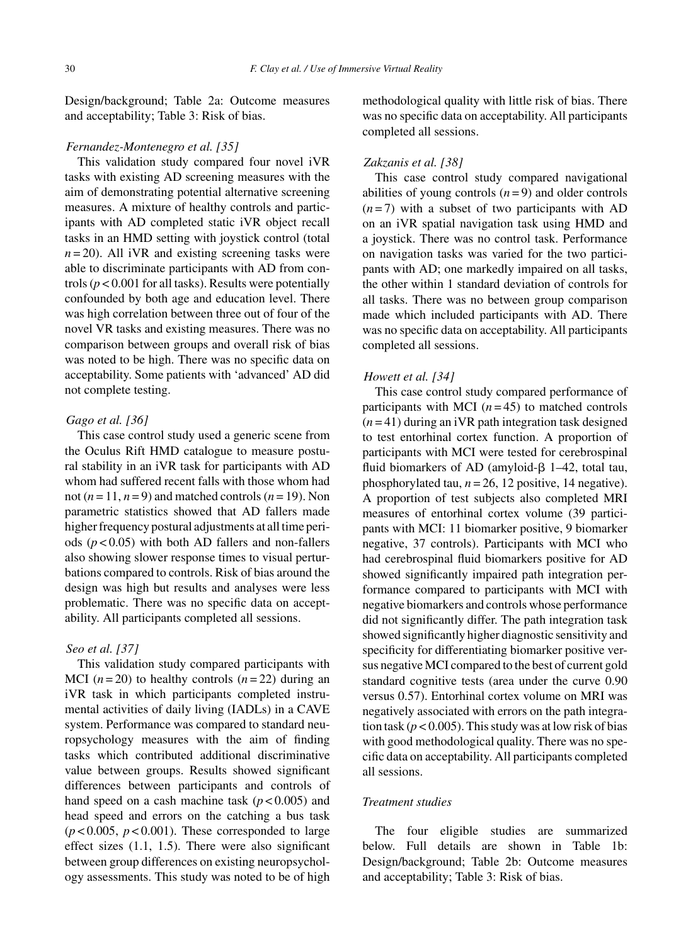Design/background; Table 2a: Outcome measures and acceptability; Table 3: Risk of bias.

#### *Fernandez-Montenegro et al. [35]*

This validation study compared four novel iVR tasks with existing AD screening measures with the aim of demonstrating potential alternative screening measures. A mixture of healthy controls and participants with AD completed static iVR object recall tasks in an HMD setting with joystick control (total  $n = 20$ ). All iVR and existing screening tasks were able to discriminate participants with AD from controls (*p* < 0.001 for all tasks). Results were potentially confounded by both age and education level. There was high correlation between three out of four of the novel VR tasks and existing measures. There was no comparison between groups and overall risk of bias was noted to be high. There was no specific data on acceptability. Some patients with 'advanced' AD did not complete testing.

# *Gago et al. [36]*

This case control study used a generic scene from the Oculus Rift HMD catalogue to measure postural stability in an iVR task for participants with AD whom had suffered recent falls with those whom had not  $(n = 11, n = 9)$  and matched controls  $(n = 19)$ . Non parametric statistics showed that AD fallers made higher frequency postural adjustments at all time periods  $(p < 0.05)$  with both AD fallers and non-fallers also showing slower response times to visual perturbations compared to controls. Risk of bias around the design was high but results and analyses were less problematic. There was no specific data on acceptability. All participants completed all sessions.

# *Seo et al. [37]*

This validation study compared participants with MCI  $(n=20)$  to healthy controls  $(n=22)$  during an iVR task in which participants completed instrumental activities of daily living (IADLs) in a CAVE system. Performance was compared to standard neuropsychology measures with the aim of finding tasks which contributed additional discriminative value between groups. Results showed significant differences between participants and controls of hand speed on a cash machine task  $(p < 0.005)$  and head speed and errors on the catching a bus task  $(p<0.005, p<0.001)$ . These corresponded to large effect sizes (1.1, 1.5). There were also significant between group differences on existing neuropsychology assessments. This study was noted to be of high

methodological quality with little risk of bias. There was no specific data on acceptability. All participants completed all sessions.

#### *Zakzanis et al. [38]*

This case control study compared navigational abilities of young controls  $(n=9)$  and older controls  $(n=7)$  with a subset of two participants with AD on an iVR spatial navigation task using HMD and a joystick. There was no control task. Performance on navigation tasks was varied for the two participants with AD; one markedly impaired on all tasks, the other within 1 standard deviation of controls for all tasks. There was no between group comparison made which included participants with AD. There was no specific data on acceptability. All participants completed all sessions.

#### *Howett et al. [34]*

This case control study compared performance of participants with MCI  $(n=45)$  to matched controls  $(n=41)$  during an iVR path integration task designed to test entorhinal cortex function. A proportion of participants with MCI were tested for cerebrospinal fluid biomarkers of AD (amyloid- $\beta$  1–42, total tau, phosphorylated tau,  $n = 26$ , 12 positive, 14 negative). A proportion of test subjects also completed MRI measures of entorhinal cortex volume (39 participants with MCI: 11 biomarker positive, 9 biomarker negative, 37 controls). Participants with MCI who had cerebrospinal fluid biomarkers positive for AD showed significantly impaired path integration performance compared to participants with MCI with negative biomarkers and controls whose performance did not significantly differ. The path integration task showed significantly higher diagnostic sensitivity and specificity for differentiating biomarker positive versus negative MCI compared to the best of current gold standard cognitive tests (area under the curve 0.90 versus 0.57). Entorhinal cortex volume on MRI was negatively associated with errors on the path integration task ( $p < 0.005$ ). This study was at low risk of bias with good methodological quality. There was no specific data on acceptability. All participants completed all sessions.

#### *Treatment studies*

The four eligible studies are summarized below. Full details are shown in Table 1b: Design/background; Table 2b: Outcome measures and acceptability; Table 3: Risk of bias.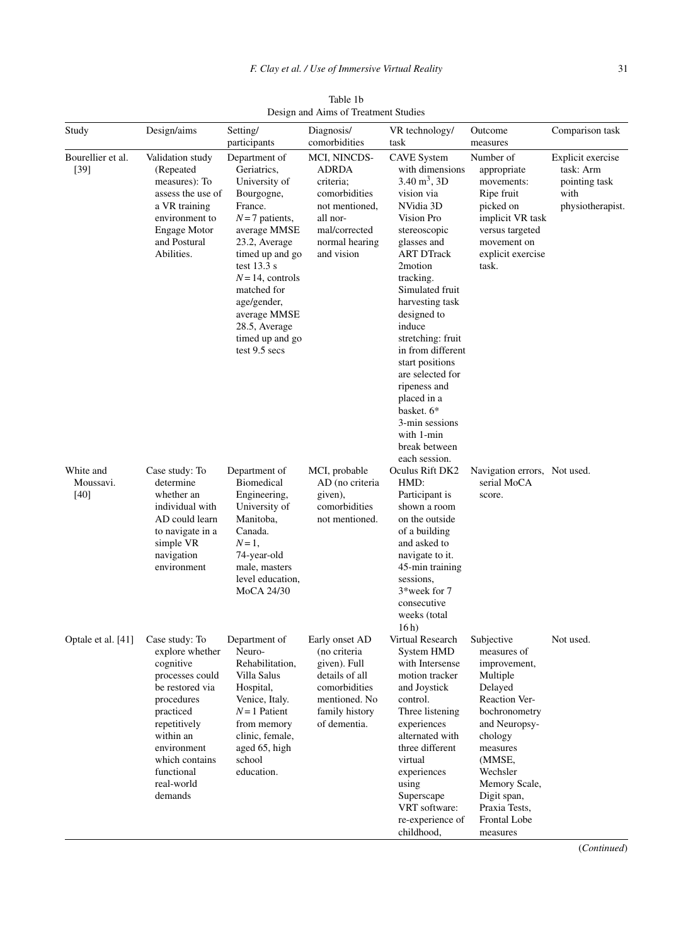| Study                            | Design/aims                                                                                                                                                                                                          | Setting/<br>participants                                                                                                                                                                                                                                                                 | Diagnosis/<br>comorbidities                                                                                                          | VR technology/<br>task                                                                                                                                                                                                                                                                                                                                                                                                                                  | Outcome<br>measures                                                                                                                                                                                                                           | Comparison task                                                             |
|----------------------------------|----------------------------------------------------------------------------------------------------------------------------------------------------------------------------------------------------------------------|------------------------------------------------------------------------------------------------------------------------------------------------------------------------------------------------------------------------------------------------------------------------------------------|--------------------------------------------------------------------------------------------------------------------------------------|---------------------------------------------------------------------------------------------------------------------------------------------------------------------------------------------------------------------------------------------------------------------------------------------------------------------------------------------------------------------------------------------------------------------------------------------------------|-----------------------------------------------------------------------------------------------------------------------------------------------------------------------------------------------------------------------------------------------|-----------------------------------------------------------------------------|
| Bourellier et al.<br>$[39]$      | Validation study<br>(Repeated<br>measures): To<br>assess the use of<br>a VR training<br>environment to<br><b>Engage Motor</b><br>and Postural<br>Abilities.                                                          | Department of<br>Geriatrics,<br>University of<br>Bourgogne,<br>France.<br>$N=7$ patients,<br>average MMSE<br>23.2, Average<br>timed up and go<br>test $13.3$ s<br>$N = 14$ , controls<br>matched for<br>age/gender,<br>average MMSE<br>28.5, Average<br>timed up and go<br>test 9.5 secs | MCI, NINCDS-<br>ADRDA<br>criteria;<br>comorbidities<br>not mentioned.<br>all nor-<br>mal/corrected<br>normal hearing<br>and vision   | <b>CAVE System</b><br>with dimensions<br>$3.40 \,\mathrm{m}^3$ , 3D<br>vision via<br>NVidia 3D<br>Vision Pro<br>stereoscopic<br>glasses and<br><b>ART DTrack</b><br>2motion<br>tracking.<br>Simulated fruit<br>harvesting task<br>designed to<br>induce<br>stretching: fruit<br>in from different<br>start positions<br>are selected for<br>ripeness and<br>placed in a<br>basket. 6*<br>3-min sessions<br>with 1-min<br>break between<br>each session. | Number of<br>appropriate<br>movements:<br>Ripe fruit<br>picked on<br>implicit VR task<br>versus targeted<br>movement on<br>explicit exercise<br>task.                                                                                         | Explicit exercise<br>task: Arm<br>pointing task<br>with<br>physiotherapist. |
| White and<br>Moussavi.<br>$[40]$ | Case study: To<br>determine<br>whether an<br>individual with<br>AD could learn<br>to navigate in a<br>simple VR<br>navigation<br>environment                                                                         | Department of<br><b>Biomedical</b><br>Engineering,<br>University of<br>Manitoba,<br>Canada.<br>$N=1$ ,<br>74-year-old<br>male, masters<br>level education,<br>MoCA 24/30                                                                                                                 | MCI, probable<br>AD (no criteria<br>given),<br>comorbidities<br>not mentioned.                                                       | Oculus Rift DK2<br>HMD:<br>Participant is<br>shown a room<br>on the outside<br>of a building<br>and asked to<br>navigate to it.<br>45-min training<br>sessions,<br>3*week for 7<br>consecutive<br>weeks (total<br>$16h$ )                                                                                                                                                                                                                               | Navigation errors, Not used.<br>serial MoCA<br>score.                                                                                                                                                                                         |                                                                             |
| Optale et al. [41]               | Case study: To<br>explore whether<br>cognitive<br>processes could<br>be restored via<br>procedures<br>practiced<br>repetitively<br>within an<br>environment<br>which contains<br>functional<br>real-world<br>demands | Department of<br>Neuro-<br>Rehabilitation,<br>Villa Salus<br>Hospital,<br>Venice, Italy.<br>$N = 1$ Patient<br>from memory<br>clinic, female,<br>aged 65, high<br>school<br>education.                                                                                                   | Early onset AD<br>(no criteria<br>given). Full<br>details of all<br>comorbidities<br>mentioned. No<br>family history<br>of dementia. | Virtual Research<br>System HMD<br>with Intersense<br>motion tracker<br>and Joystick<br>control.<br>Three listening<br>experiences<br>alternated with<br>three different<br>virtual<br>experiences<br>using<br>Superscape<br>VRT software:<br>re-experience of<br>childhood,                                                                                                                                                                             | Subjective<br>measures of<br>improvement,<br>Multiple<br>Delayed<br>Reaction Ver-<br>bochronometry<br>and Neuropsy-<br>chology<br>measures<br>(MMSE,<br>Wechsler<br>Memory Scale,<br>Digit span,<br>Praxia Tests,<br>Frontal Lobe<br>measures | Not used.                                                                   |

Table 1b Design and Aims of Treatment Studies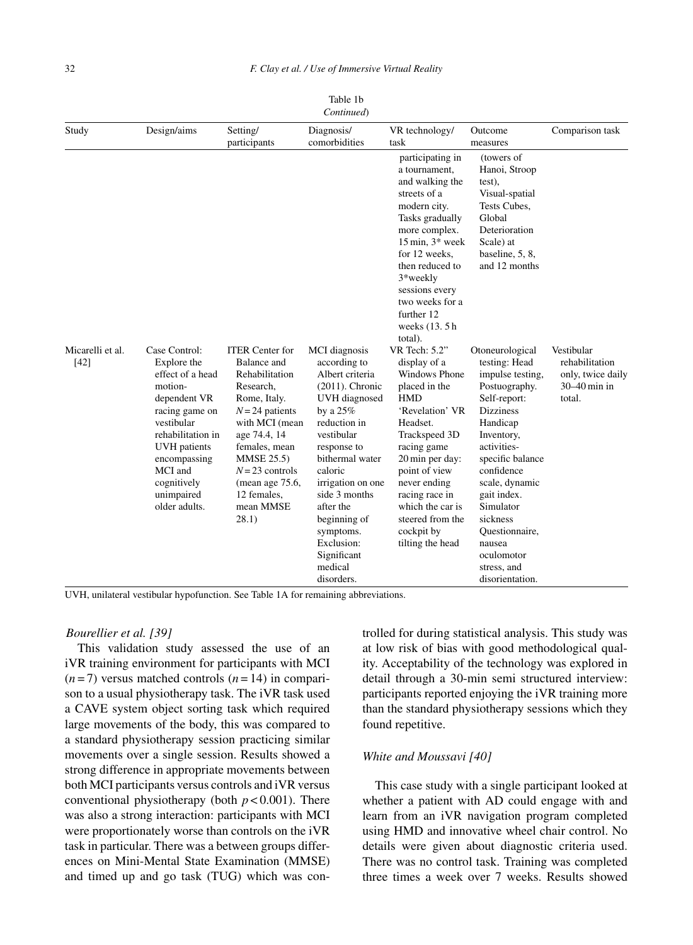|                            |                                                                                                                                                                                                                                  |                                                                                                                                                                                                                                                                 | Continued)                                                                                                                                                                                                                                                                                                             |                                                                                                                                                                                                                                                                                                                                                                                                                                                                                                                                                                                              |                                                                                                                                                                                                                                                                                                                                                                                                                                                                                   |                                                                             |
|----------------------------|----------------------------------------------------------------------------------------------------------------------------------------------------------------------------------------------------------------------------------|-----------------------------------------------------------------------------------------------------------------------------------------------------------------------------------------------------------------------------------------------------------------|------------------------------------------------------------------------------------------------------------------------------------------------------------------------------------------------------------------------------------------------------------------------------------------------------------------------|----------------------------------------------------------------------------------------------------------------------------------------------------------------------------------------------------------------------------------------------------------------------------------------------------------------------------------------------------------------------------------------------------------------------------------------------------------------------------------------------------------------------------------------------------------------------------------------------|-----------------------------------------------------------------------------------------------------------------------------------------------------------------------------------------------------------------------------------------------------------------------------------------------------------------------------------------------------------------------------------------------------------------------------------------------------------------------------------|-----------------------------------------------------------------------------|
| Study                      | Design/aims                                                                                                                                                                                                                      | Setting/<br>participants                                                                                                                                                                                                                                        | Diagnosis/<br>comorbidities                                                                                                                                                                                                                                                                                            | VR technology/<br>task                                                                                                                                                                                                                                                                                                                                                                                                                                                                                                                                                                       | Outcome<br>measures                                                                                                                                                                                                                                                                                                                                                                                                                                                               | Comparison task                                                             |
| Micarelli et al.<br>$[42]$ | Case Control:<br>Explore the<br>effect of a head<br>motion-<br>dependent VR<br>racing game on<br>vestibular<br>rehabilitation in<br><b>UVH</b> patients<br>encompassing<br>MCI and<br>cognitively<br>unimpaired<br>older adults. | <b>ITER</b> Center for<br>Balance and<br><b>Rehabilitation</b><br>Research,<br>Rome, Italy.<br>$N = 24$ patients<br>with MCI (mean<br>age 74.4, 14<br>females, mean<br>MMSE 25.5)<br>$N = 23$ controls<br>(mean age 75.6,<br>12 females.<br>mean MMSE<br>(28.1) | MCI diagnosis<br>according to<br>Albert criteria<br>$(2011)$ . Chronic<br>UVH diagnosed<br>by a $25%$<br>reduction in<br>vestibular<br>response to<br>bithermal water<br>caloric<br>irrigation on one<br>side 3 months<br>after the<br>beginning of<br>symptoms.<br>Exclusion:<br>Significant<br>medical<br>disorders. | participating in<br>a tournament,<br>and walking the<br>streets of a<br>modern city.<br>Tasks gradually<br>more complex.<br>$15 \text{ min}, 3* \text{ week}$<br>for 12 weeks.<br>then reduced to<br>3*weekly<br>sessions every<br>two weeks for a<br>further 12<br>weeks (13.5h)<br>total).<br>VR Tech: 5.2"<br>display of a<br>Windows Phone<br>placed in the<br><b>HMD</b><br>'Revelation' VR<br>Headset.<br>Trackspeed 3D<br>racing game<br>20 min per day:<br>point of view<br>never ending<br>racing race in<br>which the car is<br>steered from the<br>cockpit by<br>tilting the head | (towers of<br>Hanoi, Stroop<br>test),<br>Visual-spatial<br>Tests Cubes,<br>Global<br>Deterioration<br>Scale) at<br>baseline, 5, 8,<br>and 12 months<br>Otoneurological<br>testing: Head<br>impulse testing,<br>Postuography.<br>Self-report:<br><b>Dizziness</b><br>Handicap<br>Inventory,<br>activities-<br>specific balance<br>confidence<br>scale, dynamic<br>gait index.<br>Simulator<br>sickness<br>Questionnaire,<br>nausea<br>oculomotor<br>stress, and<br>disorientation. | Vestibular<br>rehabilitation<br>only, twice daily<br>30-40 min in<br>total. |

Table 1b

UVH, unilateral vestibular hypofunction. See Table 1A for remaining abbreviations.

#### *Bourellier et al. [39]*

This validation study assessed the use of an iVR training environment for participants with MCI  $(n=7)$  versus matched controls  $(n=14)$  in comparison to a usual physiotherapy task. The iVR task used a CAVE system object sorting task which required large movements of the body, this was compared to a standard physiotherapy session practicing similar movements over a single session. Results showed a strong difference in appropriate movements between both MCI participants versus controls and iVR versus conventional physiotherapy (both *p* < 0.001). There was also a strong interaction: participants with MCI were proportionately worse than controls on the iVR task in particular. There was a between groups differences on Mini-Mental State Examination (MMSE) and timed up and go task (TUG) which was controlled for during statistical analysis. This study was at low risk of bias with good methodological quality. Acceptability of the technology was explored in detail through a 30-min semi structured interview: participants reported enjoying the iVR training more than the standard physiotherapy sessions which they found repetitive.

## *White and Moussavi [40]*

This case study with a single participant looked at whether a patient with AD could engage with and learn from an iVR navigation program completed using HMD and innovative wheel chair control. No details were given about diagnostic criteria used. There was no control task. Training was completed three times a week over 7 weeks. Results showed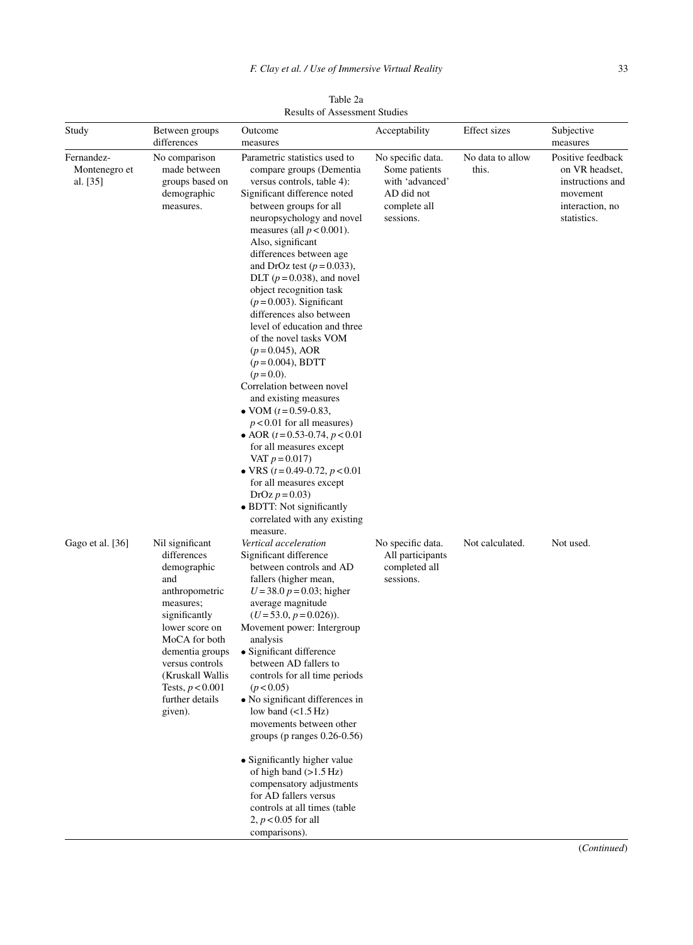| Study                                   | Between groups<br>differences                                                                                                                                                                                                                         | Outcome<br>measures                                                                                                                                                                                                                                                                                                                                                                                                                                                                                                                                                                                                                                                                                                                                                                                                                                                                                          | Acceptability                                                                                    | <b>Effect</b> sizes       | Subjective<br>measures                                                                                |
|-----------------------------------------|-------------------------------------------------------------------------------------------------------------------------------------------------------------------------------------------------------------------------------------------------------|--------------------------------------------------------------------------------------------------------------------------------------------------------------------------------------------------------------------------------------------------------------------------------------------------------------------------------------------------------------------------------------------------------------------------------------------------------------------------------------------------------------------------------------------------------------------------------------------------------------------------------------------------------------------------------------------------------------------------------------------------------------------------------------------------------------------------------------------------------------------------------------------------------------|--------------------------------------------------------------------------------------------------|---------------------------|-------------------------------------------------------------------------------------------------------|
| Fernandez-<br>Montenegro et<br>al. [35] | No comparison<br>made between<br>groups based on<br>demographic<br>measures.                                                                                                                                                                          | Parametric statistics used to<br>compare groups (Dementia<br>versus controls, table 4):<br>Significant difference noted<br>between groups for all<br>neuropsychology and novel<br>measures (all $p < 0.001$ ).<br>Also, significant<br>differences between age<br>and DrOz test ( $p = 0.033$ ),<br>DLT ( $p = 0.038$ ), and novel<br>object recognition task<br>$(p=0.003)$ . Significant<br>differences also between<br>level of education and three<br>of the novel tasks VOM<br>$(p=0.045)$ , AOR<br>$(p=0.004)$ , BDTT<br>$(p=0.0)$ .<br>Correlation between novel<br>and existing measures<br>• VOM $(t=0.59-0.83)$ ,<br>$p < 0.01$ for all measures)<br>• AOR $(t=0.53-0.74, p<0.01$<br>for all measures except<br>VAT $p = 0.017$ )<br>$\bullet$ VRS (t=0.49-0.72, p < 0.01<br>for all measures except<br>DrOz $p = 0.03$ )<br>• BDTT: Not significantly<br>correlated with any existing<br>measure. | No specific data.<br>Some patients<br>with 'advanced'<br>AD did not<br>complete all<br>sessions. | No data to allow<br>this. | Positive feedback<br>on VR headset,<br>instructions and<br>movement<br>interaction, no<br>statistics. |
| Gago et al. [36]                        | Nil significant<br>differences<br>demographic<br>and<br>anthropometric<br>measures;<br>significantly<br>lower score on<br>MoCA for both<br>dementia groups<br>versus controls<br>(Kruskall Wallis<br>Tests, $p < 0.001$<br>further details<br>given). | Vertical acceleration<br>Significant difference<br>between controls and AD<br>fallers (higher mean,<br>$U = 38.0 p = 0.03$ ; higher<br>average magnitude<br>$(U=53.0, p=0.026)$ ).<br>Movement power: Intergroup<br>analysis<br>• Significant difference<br>between AD fallers to<br>controls for all time periods<br>(p < 0.05)<br>• No significant differences in<br>low band $(<1.5 Hz)$<br>movements between other<br>groups ( $p$ ranges $0.26 - 0.56$ )<br>• Significantly higher value<br>of high band $(>1.5 Hz)$<br>compensatory adjustments<br>for AD fallers versus<br>controls at all times (table<br>2, $p < 0.05$ for all<br>comparisons).                                                                                                                                                                                                                                                     | No specific data.<br>All participants<br>completed all<br>sessions.                              | Not calculated.           | Not used.                                                                                             |

Table 2a Results of Assessment Studies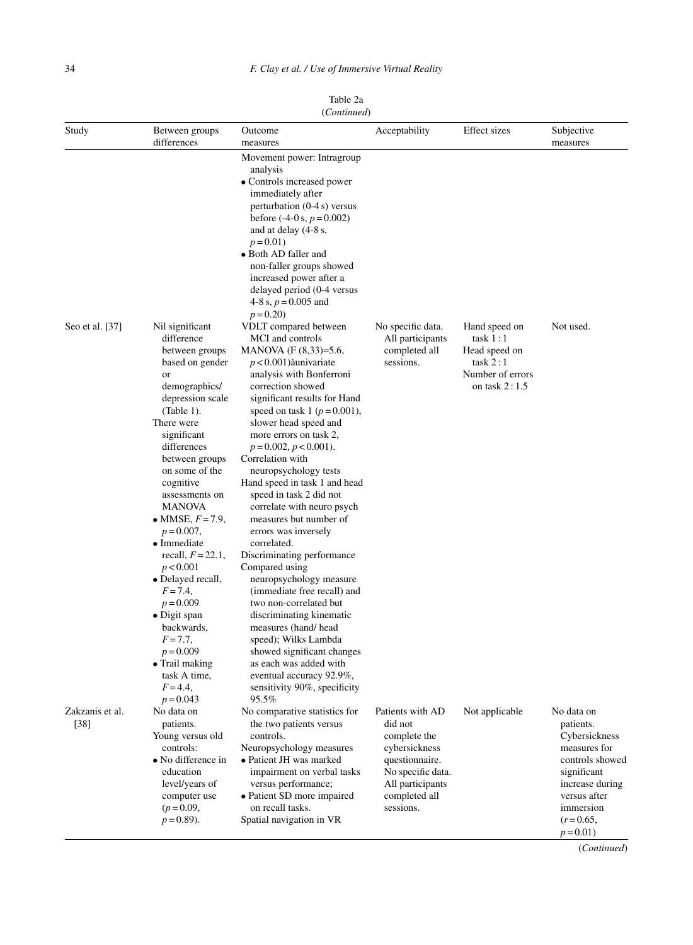| Study                     | Between groups<br>differences                                                                                                                                                                                                                                                                                                                                                                                                                                                                                                                   | Outcome<br>measures                                                                                                                                                                                                                                                                                                                                                                                                                                                                                                                                                                                                                                                                                                                                                                                                                                                       | Acceptability                                                                                                                                         | Effect sizes                                                                                    | Subjective<br>measures                                                                                                                                                 |
|---------------------------|-------------------------------------------------------------------------------------------------------------------------------------------------------------------------------------------------------------------------------------------------------------------------------------------------------------------------------------------------------------------------------------------------------------------------------------------------------------------------------------------------------------------------------------------------|---------------------------------------------------------------------------------------------------------------------------------------------------------------------------------------------------------------------------------------------------------------------------------------------------------------------------------------------------------------------------------------------------------------------------------------------------------------------------------------------------------------------------------------------------------------------------------------------------------------------------------------------------------------------------------------------------------------------------------------------------------------------------------------------------------------------------------------------------------------------------|-------------------------------------------------------------------------------------------------------------------------------------------------------|-------------------------------------------------------------------------------------------------|------------------------------------------------------------------------------------------------------------------------------------------------------------------------|
|                           |                                                                                                                                                                                                                                                                                                                                                                                                                                                                                                                                                 | Movement power: Intragroup<br>analysis<br>• Controls increased power<br>immediately after<br>perturbation (0-4 s) versus<br>before $(-4-0 s, p = 0.002)$<br>and at delay (4-8 s,<br>$p = 0.01$<br>• Both AD faller and<br>non-faller groups showed<br>increased power after a<br>delayed period (0-4 versus<br>4-8 s, $p = 0.005$ and                                                                                                                                                                                                                                                                                                                                                                                                                                                                                                                                     |                                                                                                                                                       |                                                                                                 |                                                                                                                                                                        |
| Seo et al. [37]           | Nil significant<br>difference<br>between groups<br>based on gender<br>or<br>demographics/<br>depression scale<br>(Table 1).<br>There were<br>significant<br>differences<br>between groups<br>on some of the<br>cognitive<br>assessments on<br>MANOVA<br>• MMSE, $F = 7.9$ ,<br>$p = 0.007$ ,<br>• Immediate<br>recall, $F = 22.1$ ,<br>p < 0.001<br>• Delayed recall,<br>$F = 7.4$ ,<br>$p = 0.009$<br>$\bullet$ Digit span<br>backwards,<br>$F = 7.7$ ,<br>$p = 0.009$<br>$\bullet$ Trail making<br>task A time,<br>$F = 4.4$ ,<br>$p = 0.043$ | $p = 0.20$<br>VDLT compared between<br>MCI and controls<br>MANOVA $(F (8, 33)=5.6,$<br>$p < 0.001$ ) àunivariate<br>analysis with Bonferroni<br>correction showed<br>significant results for Hand<br>speed on task 1 ( $p = 0.001$ ),<br>slower head speed and<br>more errors on task 2,<br>$p = 0.002, p < 0.001$ ).<br>Correlation with<br>neuropsychology tests<br>Hand speed in task 1 and head<br>speed in task 2 did not<br>correlate with neuro psych<br>measures but number of<br>errors was inversely<br>correlated.<br>Discriminating performance<br>Compared using<br>neuropsychology measure<br>(immediate free recall) and<br>two non-correlated but<br>discriminating kinematic<br>measures (hand/head<br>speed); Wilks Lambda<br>showed significant changes<br>as each was added with<br>eventual accuracy 92.9%,<br>sensitivity 90%, specificity<br>95.5% | No specific data.<br>All participants<br>completed all<br>sessions.                                                                                   | Hand speed on<br>task 1:1<br>Head speed on<br>task $2:1$<br>Number of errors<br>on task $2:1.5$ | Not used.                                                                                                                                                              |
| Zakzanis et al.<br>$[38]$ | No data on<br>patients.<br>Young versus old<br>controls:<br>• No difference in<br>education<br>level/years of<br>computer use<br>$(p=0.09,$<br>$p = 0.89$ .                                                                                                                                                                                                                                                                                                                                                                                     | No comparative statistics for<br>the two patients versus<br>controls.<br>Neuropsychology measures<br>· Patient JH was marked<br>impairment on verbal tasks<br>versus performance;<br>• Patient SD more impaired<br>on recall tasks.<br>Spatial navigation in VR                                                                                                                                                                                                                                                                                                                                                                                                                                                                                                                                                                                                           | Patients with AD<br>did not<br>complete the<br>cybersickness<br>questionnaire.<br>No specific data.<br>All participants<br>completed all<br>sessions. | Not applicable                                                                                  | No data on<br>patients.<br>Cybersickness<br>measures for<br>controls showed<br>significant<br>increase during<br>versus after<br>immersion<br>$(r=0.65,$<br>$p = 0.01$ |

Table 2a (*Continued*)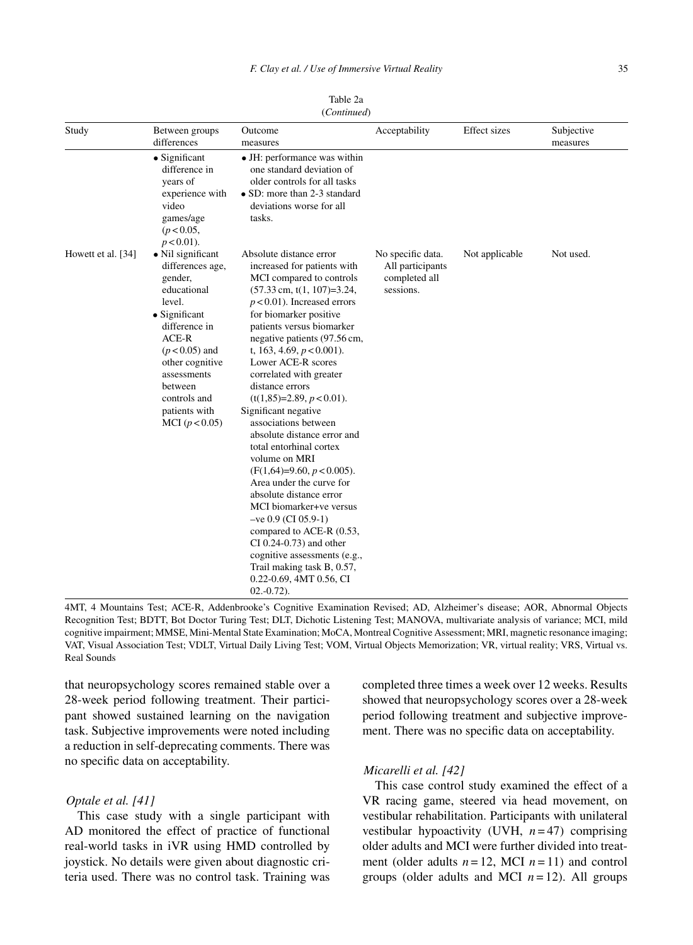| Study              | Between groups<br>differences                                                                                                                                                                                                                      | Outcome<br>measures                                                                                                                                                                                                                                                                                                                                                                                                                                                                                                                                                                                                                                                                                                                                                                                                          | Acceptability                                                       | <b>Effect</b> sizes | Subjective<br>measures |
|--------------------|----------------------------------------------------------------------------------------------------------------------------------------------------------------------------------------------------------------------------------------------------|------------------------------------------------------------------------------------------------------------------------------------------------------------------------------------------------------------------------------------------------------------------------------------------------------------------------------------------------------------------------------------------------------------------------------------------------------------------------------------------------------------------------------------------------------------------------------------------------------------------------------------------------------------------------------------------------------------------------------------------------------------------------------------------------------------------------------|---------------------------------------------------------------------|---------------------|------------------------|
|                    | $\bullet$ Significant<br>difference in<br>years of<br>experience with<br>video<br>games/age<br>(p < 0.05,<br>$p < 0.01$ ).                                                                                                                         | • JH: performance was within<br>one standard deviation of<br>older controls for all tasks<br>• SD: more than 2-3 standard<br>deviations worse for all<br>tasks.                                                                                                                                                                                                                                                                                                                                                                                                                                                                                                                                                                                                                                                              |                                                                     |                     |                        |
| Howett et al. [34] | • Nil significant<br>differences age,<br>gender,<br>educational<br>level.<br>$\bullet$ Significant<br>difference in<br>ACE-R<br>$(p < 0.05)$ and<br>other cognitive<br>assessments<br>between<br>controls and<br>patients with<br>MCI $(p < 0.05)$ | Absolute distance error<br>increased for patients with<br>MCI compared to controls<br>$(57.33 \text{ cm}, t(1, 107)=3.24,$<br>$p < 0.01$ ). Increased errors<br>for biomarker positive<br>patients versus biomarker<br>negative patients (97.56 cm,<br>t, 163, 4.69, $p < 0.001$ ).<br>Lower ACE-R scores<br>correlated with greater<br>distance errors<br>$(t(1,85)=2.89, p<0.01).$<br>Significant negative<br>associations between<br>absolute distance error and<br>total entorhinal cortex<br>volume on MRI<br>$(F(1,64)=9.60, p<0.005).$<br>Area under the curve for<br>absolute distance error<br>MCI biomarker+ve versus<br>$-ve$ 0.9 (CI 05.9-1)<br>compared to ACE-R (0.53,<br>CI $0.24-0.73$ ) and other<br>cognitive assessments (e.g.,<br>Trail making task B, 0.57,<br>0.22-0.69, 4MT 0.56, CI<br>$02.-0.72$ ). | No specific data.<br>All participants<br>completed all<br>sessions. | Not applicable      | Not used.              |

Table 2a (*Continued*)

4MT, 4 Mountains Test; ACE-R, Addenbrooke's Cognitive Examination Revised; AD, Alzheimer's disease; AOR, Abnormal Objects Recognition Test; BDTT, Bot Doctor Turing Test; DLT, Dichotic Listening Test; MANOVA, multivariate analysis of variance; MCI, mild cognitive impairment; MMSE, Mini-Mental State Examination; MoCA, Montreal Cognitive Assessment; MRI, magnetic resonance imaging; VAT, Visual Association Test; VDLT, Virtual Daily Living Test; VOM, Virtual Objects Memorization; VR, virtual reality; VRS, Virtual vs. Real Sounds

that neuropsychology scores remained stable over a 28-week period following treatment. Their participant showed sustained learning on the navigation task. Subjective improvements were noted including a reduction in self-deprecating comments. There was no specific data on acceptability.

## *Optale et al. [41]*

This case study with a single participant with AD monitored the effect of practice of functional real-world tasks in iVR using HMD controlled by joystick. No details were given about diagnostic criteria used. There was no control task. Training was completed three times a week over 12 weeks. Results showed that neuropsychology scores over a 28-week period following treatment and subjective improvement. There was no specific data on acceptability.

#### *Micarelli et al. [42]*

This case control study examined the effect of a VR racing game, steered via head movement, on vestibular rehabilitation. Participants with unilateral vestibular hypoactivity (UVH,  $n = 47$ ) comprising older adults and MCI were further divided into treatment (older adults  $n = 12$ , MCI  $n = 11$ ) and control groups (older adults and MCI  $n = 12$ ). All groups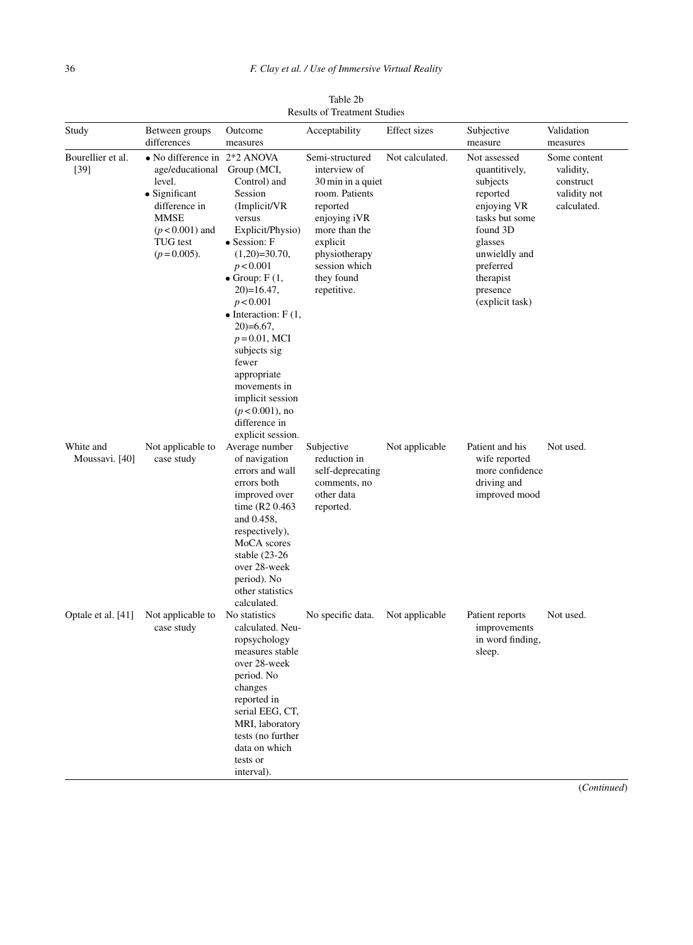| Study                       | Between groups<br>differences                                                                                                                                   | Outcome<br>measures                                                                                                                                                                                                                                                                                                                                                                         | Acceptability                                                                                                                                                                                  | Effect sizes    | Subjective<br>measure                                                                                                                                                                   | Validation<br>measures                                                |
|-----------------------------|-----------------------------------------------------------------------------------------------------------------------------------------------------------------|---------------------------------------------------------------------------------------------------------------------------------------------------------------------------------------------------------------------------------------------------------------------------------------------------------------------------------------------------------------------------------------------|------------------------------------------------------------------------------------------------------------------------------------------------------------------------------------------------|-----------------|-----------------------------------------------------------------------------------------------------------------------------------------------------------------------------------------|-----------------------------------------------------------------------|
| Bourellier et al.<br>[39]   | • No difference in $2*2$ ANOVA<br>age/educational<br>level.<br>$\bullet$ Significant<br>difference in<br>MMSE<br>$(p < 0.001)$ and<br>TUG test<br>$(p=0.005)$ . | Group (MCI,<br>Control) and<br>Session<br>(Implicit/VR<br>versus<br>Explicit/Physio)<br>• Session: F<br>$(1,20)=30.70,$<br>p < 0.001<br>• Group: $F(1,$<br>$20=16.47,$<br>p < 0.001<br>$\bullet$ Interaction: F(1,<br>$20=6.67$ ,<br>$p = 0.01$ , MCI<br>subjects sig<br>fewer<br>appropriate<br>movements in<br>implicit session<br>$(p<0.001)$ , no<br>difference in<br>explicit session. | Semi-structured<br>interview of<br>30 min in a quiet<br>room. Patients<br>reported<br>enjoying iVR<br>more than the<br>explicit<br>physiotherapy<br>session which<br>they found<br>repetitive. | Not calculated. | Not assessed<br>quantitively,<br>subjects<br>reported<br>enjoying VR<br>tasks but some<br>found 3D<br>glasses<br>unwieldly and<br>preferred<br>therapist<br>presence<br>(explicit task) | Some content<br>validity,<br>construct<br>validity not<br>calculated. |
| White and<br>Moussavi. [40] | Not applicable to<br>case study                                                                                                                                 | Average number<br>of navigation<br>errors and wall<br>errors both<br>improved over<br>time $(R2 0.463)$<br>and 0.458,<br>respectively),<br>MoCA scores<br>stable $(23-26)$<br>over 28-week<br>period). No<br>other statistics<br>calculated.                                                                                                                                                | Subjective<br>reduction in<br>self-deprecating<br>comments, no<br>other data<br>reported.                                                                                                      | Not applicable  | Patient and his<br>wife reported<br>more confidence<br>driving and<br>improved mood                                                                                                     | Not used.                                                             |
| Optale et al. [41]          | Not applicable to<br>case study                                                                                                                                 | No statistics<br>calculated. Neu-<br>ropsychology<br>measures stable<br>over 28-week<br>period. No<br>changes<br>reported in<br>serial EEG, CT,<br>MRI, laboratory<br>tests (no further<br>data on which<br>tests or<br>interval).                                                                                                                                                          | No specific data.                                                                                                                                                                              | Not applicable  | Patient reports<br>improvements<br>in word finding,<br>sleep.                                                                                                                           | Not used.                                                             |

Table 2b Results of Treatment Studies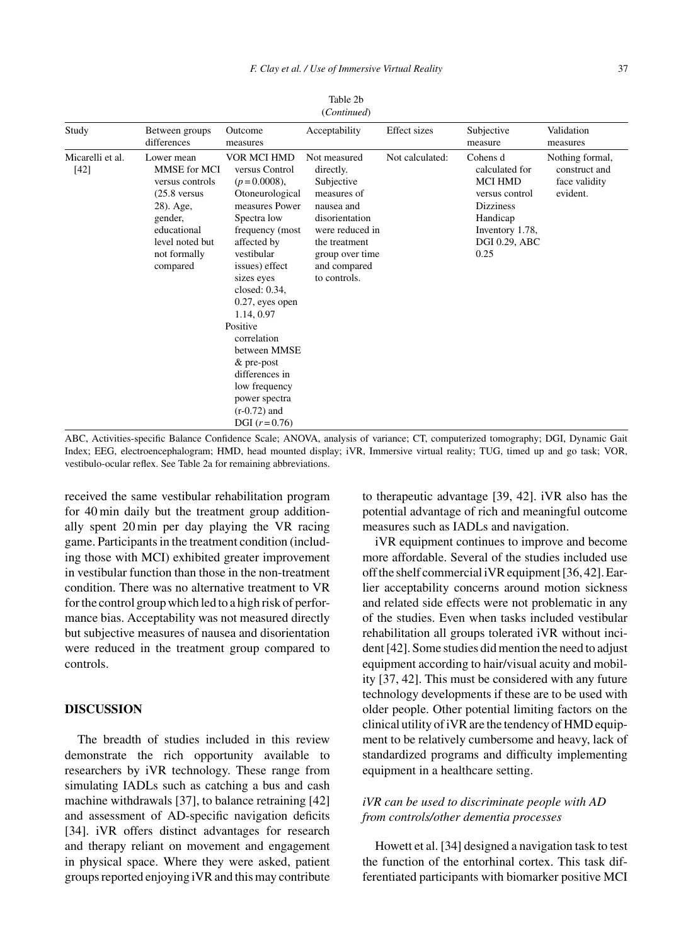| Between groups                                                                                                                                        | Outcome                                                                                                                                                                                                                                                                                                                              | Acceptability                                                                                                                                                                 | <b>Effect</b> sizes | Subjective                                                                                                                                        | Validation                                                    |
|-------------------------------------------------------------------------------------------------------------------------------------------------------|--------------------------------------------------------------------------------------------------------------------------------------------------------------------------------------------------------------------------------------------------------------------------------------------------------------------------------------|-------------------------------------------------------------------------------------------------------------------------------------------------------------------------------|---------------------|---------------------------------------------------------------------------------------------------------------------------------------------------|---------------------------------------------------------------|
| differences                                                                                                                                           | measures                                                                                                                                                                                                                                                                                                                             |                                                                                                                                                                               |                     | measure                                                                                                                                           | measures                                                      |
| Lower mean<br>MMSE for MCI<br>versus controls<br>$(25.8$ versus<br>28). Age,<br>gender,<br>educational<br>level noted but<br>not formally<br>compared | VOR MCI HMD<br>versus Control<br>$(p=0.0008),$<br>Otoneurological<br>measures Power<br>Spectra low<br>affected by<br>vestibular<br>issues) effect<br>sizes eyes<br>closed: $0.34$ ,<br>$0.27$ , eyes open<br>1.14, 0.97<br>Positive<br>correlation<br>between MMSE<br>& pre-post<br>differences in<br>low frequency<br>power spectra | Not measured<br>directly.<br>Subjective<br>measures of<br>nausea and<br>disorientation<br>were reduced in<br>the treatment<br>group over time<br>and compared<br>to controls. | Not calculated:     | Cohens d<br>calculated for<br><b>MCI HMD</b><br>versus control<br><b>Dizziness</b><br>Handicap<br>Inventory 1.78,<br><b>DGI 0.29, ABC</b><br>0.25 | Nothing formal,<br>construct and<br>face validity<br>evident. |
|                                                                                                                                                       |                                                                                                                                                                                                                                                                                                                                      | $(r-0.72)$ and<br>DGI $(r=0.76)$                                                                                                                                              | frequency (most     |                                                                                                                                                   |                                                               |

Table 2b (*Continued*)

ABC, Activities-specific Balance Confidence Scale; ANOVA, analysis of variance; CT, computerized tomography; DGI, Dynamic Gait Index; EEG, electroencephalogram; HMD, head mounted display; iVR, Immersive virtual reality; TUG, timed up and go task; VOR, vestibulo-ocular reflex. See Table 2a for remaining abbreviations.

received the same vestibular rehabilitation program for 40 min daily but the treatment group additionally spent 20 min per day playing the VR racing game. Participants in the treatment condition (including those with MCI) exhibited greater improvement in vestibular function than those in the non-treatment condition. There was no alternative treatment to VR for the control group which led to a high risk of performance bias. Acceptability was not measured directly but subjective measures of nausea and disorientation were reduced in the treatment group compared to controls.

#### **DISCUSSION**

The breadth of studies included in this review demonstrate the rich opportunity available to researchers by iVR technology. These range from simulating IADLs such as catching a bus and cash machine withdrawals [37], to balance retraining [42] and assessment of AD-specific navigation deficits [34]. iVR offers distinct advantages for research and therapy reliant on movement and engagement in physical space. Where they were asked, patient groups reported enjoying iVR and this may contribute

to therapeutic advantage [39, 42]. iVR also has the potential advantage of rich and meaningful outcome measures such as IADLs and navigation.

iVR equipment continues to improve and become more affordable. Several of the studies included use off the shelf commercial iVR equipment [36, 42]. Earlier acceptability concerns around motion sickness and related side effects were not problematic in any of the studies. Even when tasks included vestibular rehabilitation all groups tolerated iVR without incident [42]. Some studies did mention the need to adjust equipment according to hair/visual acuity and mobility [37, 42]. This must be considered with any future technology developments if these are to be used with older people. Other potential limiting factors on the clinical utility of iVR are the tendency of HMD equipment to be relatively cumbersome and heavy, lack of standardized programs and difficulty implementing equipment in a healthcare setting.

# *iVR can be used to discriminate people with AD from controls/other dementia processes*

Howett et al. [34] designed a navigation task to test the function of the entorhinal cortex. This task differentiated participants with biomarker positive MCI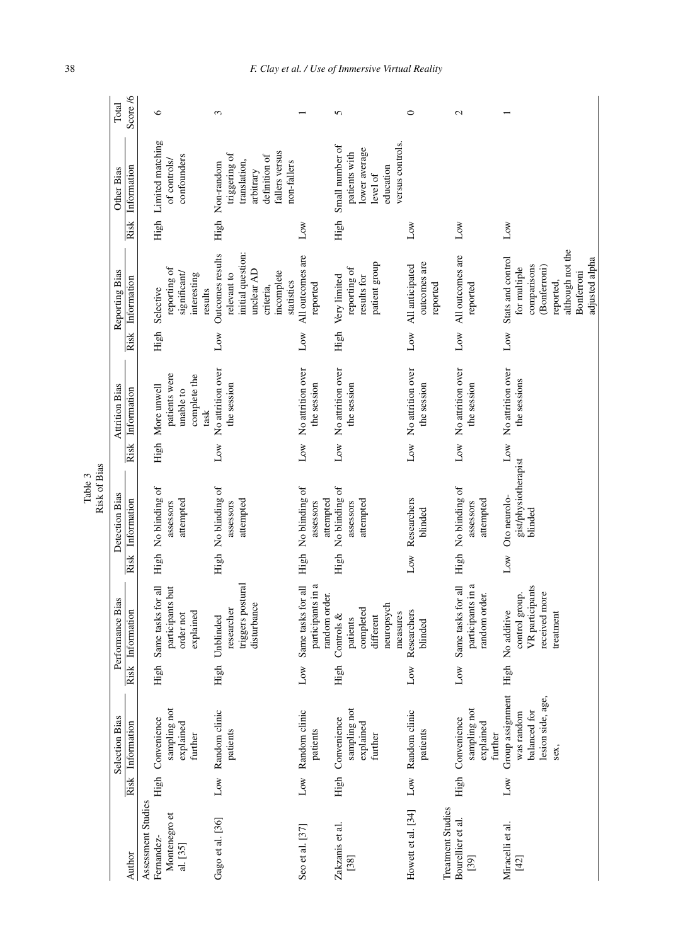|                                  |                                                                             |                       |                                                                                |                 | Risk of Bias                                    |                 |                                                    |                 |                                                                                                                                   |                 |                                                                                                           |          |
|----------------------------------|-----------------------------------------------------------------------------|-----------------------|--------------------------------------------------------------------------------|-----------------|-------------------------------------------------|-----------------|----------------------------------------------------|-----------------|-----------------------------------------------------------------------------------------------------------------------------------|-----------------|-----------------------------------------------------------------------------------------------------------|----------|
|                                  | <b>Selection Bias</b>                                                       |                       | Performance Bias                                                               |                 | Detection Bias                                  |                 | <b>Attrition Bias</b>                              |                 | Reporting Bias                                                                                                                    |                 | Other Bias                                                                                                | Total    |
|                                  | Risk Information                                                            |                       | Risk Information                                                               |                 | Risk Information                                |                 | Risk Information                                   |                 | Risk Information                                                                                                                  | Risk            | Information                                                                                               | Score /6 |
| High<br>Assessment Studies       | Convenience                                                                 | High                  | Same tasks for all                                                             | High            | No blinding of                                  | High            | More unwell                                        | High            | Selective                                                                                                                         | High            | Limited matching                                                                                          | $\circ$  |
|                                  | sampling not<br>explained<br>further                                        |                       | participants but<br>explained<br>order not                                     |                 | attempted<br>assessors                          |                 | patients were<br>complete the<br>unable to<br>task |                 | reporting of<br>significant<br>interesting<br>results                                                                             |                 | confounders<br>of controls/                                                                               |          |
|                                  | Low Random clinic<br>patients                                               | High                  | triggers postural<br>disturbance<br>researcher<br>Unblinded                    | High            | No blinding of<br>attempted<br>assessors        | Low             | No attrition over<br>the session                   | Low             | Outcomes results<br>initial question:<br>unclear AD<br>incomplete<br>relevant to<br>statistics<br>criteria,                       | High            | allers versus<br>triggering of<br>definition of<br>translation,<br>non-fallers<br>Non-random<br>arbitrary | 3        |
| Low                              | Random clinic<br>patients                                                   | Δõ                    | participants in a<br>Same tasks for all<br>random order.                       | High            | No blinding of<br>attempted<br>assessors        | Low             | No attrition over<br>the session                   | Low             | All outcomes are<br>reported                                                                                                      | Low             |                                                                                                           |          |
|                                  | sampling not<br>High Convenience<br>explained<br>further                    | High                  | neuropsych<br>completed<br>measures<br>Controls &<br>different<br>patients     | High            | No blinding of<br>attempted<br>assessors        |                 | Low No attrition over<br>the session               | High            | patient group<br>reporting of<br>Very limited<br>results for                                                                      | High            | versus controls.<br>Small number of<br>lower average<br>patients with<br>education<br>level of            | 5        |
| Howett et al. [34]               | Low Random clinic<br>patients                                               | $\sum_{i=1}^{\infty}$ | Researchers<br>blinded                                                         | Low             | Researchers<br>blinded                          | $_{\text{Low}}$ | No attrition over<br>the session                   | $_{Low}$        | outcomes are<br>All anticipated<br>reported                                                                                       | Low             |                                                                                                           | 0        |
| High<br><b>Treatment Studies</b> | sampling not<br>Convenience<br>explained<br>further                         | Δõ                    | participants in a<br>Same tasks for all<br>random order.                       | High            | No blinding of<br>attempted<br>assessors        |                 | Low No attrition over<br>the session               | $_{\text{Low}}$ | All outcomes are<br>reported                                                                                                      | Low             |                                                                                                           | 2        |
| Low                              | Group assignment<br>lesion side, age,<br>balanced for<br>was random<br>sex, | High                  | VR participants<br>received more<br>control group.<br>No additive<br>treatment | $_{\text{Low}}$ | gist/physiotherapist<br>Oto neurolo-<br>blinded | $_{\text{Low}}$ | No attrition over<br>the sessions                  | $_{\text{Low}}$ | although not the<br>Stats and control<br>adjusted alpha<br>comparisons<br>(Bonferroni)<br>for multiple<br>Bonferroni<br>reported, | $_{\text{Low}}$ |                                                                                                           |          |

Table 3

# 38 *F. Clay et al. / Use of Immersive Virtual Reality*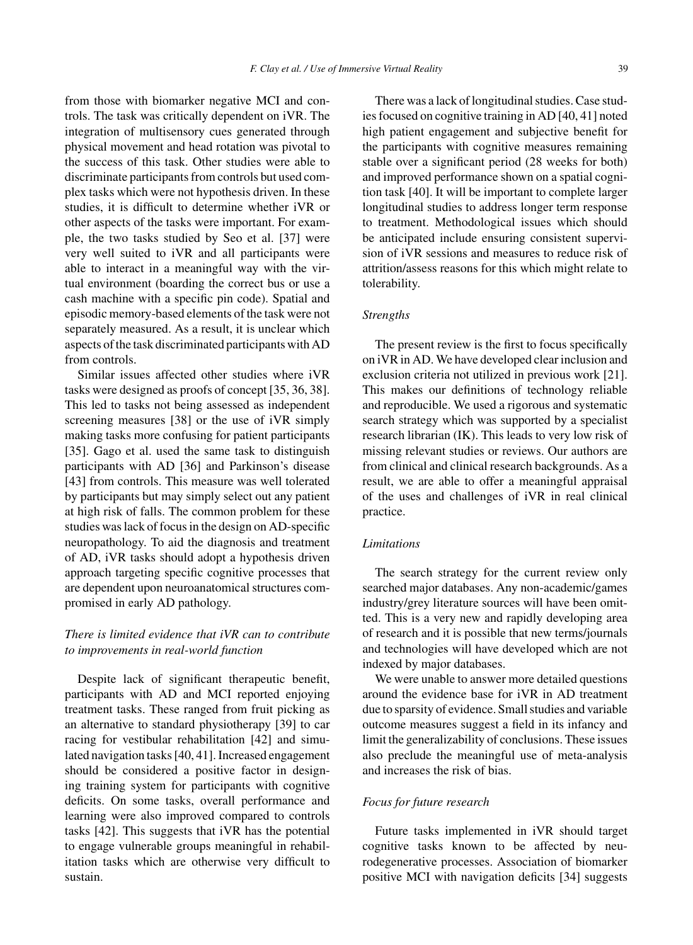from those with biomarker negative MCI and controls. The task was critically dependent on iVR. The integration of multisensory cues generated through physical movement and head rotation was pivotal to the success of this task. Other studies were able to discriminate participants from controls but used complex tasks which were not hypothesis driven. In these studies, it is difficult to determine whether iVR or other aspects of the tasks were important. For example, the two tasks studied by Seo et al. [37] were very well suited to iVR and all participants were able to interact in a meaningful way with the virtual environment (boarding the correct bus or use a cash machine with a specific pin code). Spatial and episodic memory-based elements of the task were not separately measured. As a result, it is unclear which aspects of the task discriminated participants with AD from controls.

Similar issues affected other studies where iVR tasks were designed as proofs of concept [35, 36, 38]. This led to tasks not being assessed as independent screening measures [38] or the use of iVR simply making tasks more confusing for patient participants [35]. Gago et al. used the same task to distinguish participants with AD [36] and Parkinson's disease [43] from controls. This measure was well tolerated by participants but may simply select out any patient at high risk of falls. The common problem for these studies was lack of focus in the design on AD-specific neuropathology. To aid the diagnosis and treatment of AD, iVR tasks should adopt a hypothesis driven approach targeting specific cognitive processes that are dependent upon neuroanatomical structures compromised in early AD pathology.

# *There is limited evidence that iVR can to contribute to improvements in real-world function*

Despite lack of significant therapeutic benefit, participants with AD and MCI reported enjoying treatment tasks. These ranged from fruit picking as an alternative to standard physiotherapy [39] to car racing for vestibular rehabilitation [42] and simulated navigation tasks [40, 41]. Increased engagement should be considered a positive factor in designing training system for participants with cognitive deficits. On some tasks, overall performance and learning were also improved compared to controls tasks [42]. This suggests that iVR has the potential to engage vulnerable groups meaningful in rehabilitation tasks which are otherwise very difficult to sustain.

There was a lack of longitudinal studies. Case studies focused on cognitive training in AD [40, 41] noted high patient engagement and subjective benefit for the participants with cognitive measures remaining stable over a significant period (28 weeks for both) and improved performance shown on a spatial cognition task [40]. It will be important to complete larger longitudinal studies to address longer term response to treatment. Methodological issues which should be anticipated include ensuring consistent supervision of iVR sessions and measures to reduce risk of attrition/assess reasons for this which might relate to tolerability.

# *Strengths*

The present review is the first to focus specifically on iVR in AD. We have developed clear inclusion and exclusion criteria not utilized in previous work [21]. This makes our definitions of technology reliable and reproducible. We used a rigorous and systematic search strategy which was supported by a specialist research librarian (IK). This leads to very low risk of missing relevant studies or reviews. Our authors are from clinical and clinical research backgrounds. As a result, we are able to offer a meaningful appraisal of the uses and challenges of iVR in real clinical practice.

## *Limitations*

The search strategy for the current review only searched major databases. Any non-academic/games industry/grey literature sources will have been omitted. This is a very new and rapidly developing area of research and it is possible that new terms/journals and technologies will have developed which are not indexed by major databases.

We were unable to answer more detailed questions around the evidence base for iVR in AD treatment due to sparsity of evidence. Small studies and variable outcome measures suggest a field in its infancy and limit the generalizability of conclusions. These issues also preclude the meaningful use of meta-analysis and increases the risk of bias.

# *Focus for future research*

Future tasks implemented in iVR should target cognitive tasks known to be affected by neurodegenerative processes. Association of biomarker positive MCI with navigation deficits [34] suggests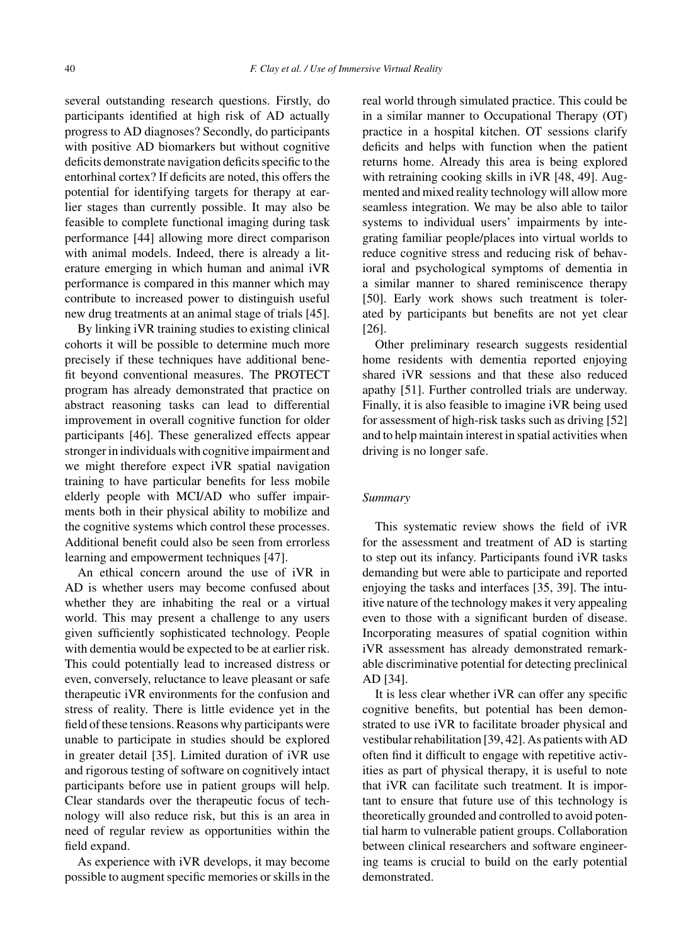several outstanding research questions. Firstly, do participants identified at high risk of AD actually progress to AD diagnoses? Secondly, do participants with positive AD biomarkers but without cognitive deficits demonstrate navigation deficits specific to the entorhinal cortex? If deficits are noted, this offers the potential for identifying targets for therapy at earlier stages than currently possible. It may also be feasible to complete functional imaging during task performance [44] allowing more direct comparison with animal models. Indeed, there is already a literature emerging in which human and animal iVR performance is compared in this manner which may contribute to increased power to distinguish useful new drug treatments at an animal stage of trials [45].

By linking iVR training studies to existing clinical cohorts it will be possible to determine much more precisely if these techniques have additional benefit beyond conventional measures. The PROTECT program has already demonstrated that practice on abstract reasoning tasks can lead to differential improvement in overall cognitive function for older participants [46]. These generalized effects appear stronger in individuals with cognitive impairment and we might therefore expect iVR spatial navigation training to have particular benefits for less mobile elderly people with MCI/AD who suffer impairments both in their physical ability to mobilize and the cognitive systems which control these processes. Additional benefit could also be seen from errorless learning and empowerment techniques [47].

An ethical concern around the use of iVR in AD is whether users may become confused about whether they are inhabiting the real or a virtual world. This may present a challenge to any users given sufficiently sophisticated technology. People with dementia would be expected to be at earlier risk. This could potentially lead to increased distress or even, conversely, reluctance to leave pleasant or safe therapeutic iVR environments for the confusion and stress of reality. There is little evidence yet in the field of these tensions. Reasons why participants were unable to participate in studies should be explored in greater detail [35]. Limited duration of iVR use and rigorous testing of software on cognitively intact participants before use in patient groups will help. Clear standards over the therapeutic focus of technology will also reduce risk, but this is an area in need of regular review as opportunities within the field expand.

As experience with iVR develops, it may become possible to augment specific memories or skills in the real world through simulated practice. This could be in a similar manner to Occupational Therapy (OT) practice in a hospital kitchen. OT sessions clarify deficits and helps with function when the patient returns home. Already this area is being explored with retraining cooking skills in iVR [48, 49]. Augmented and mixed reality technology will allow more seamless integration. We may be also able to tailor systems to individual users' impairments by integrating familiar people/places into virtual worlds to reduce cognitive stress and reducing risk of behavioral and psychological symptoms of dementia in a similar manner to shared reminiscence therapy [50]. Early work shows such treatment is tolerated by participants but benefits are not yet clear [26].

Other preliminary research suggests residential home residents with dementia reported enjoying shared iVR sessions and that these also reduced apathy [51]. Further controlled trials are underway. Finally, it is also feasible to imagine iVR being used for assessment of high-risk tasks such as driving [52] and to help maintain interest in spatial activities when driving is no longer safe.

## *Summary*

This systematic review shows the field of iVR for the assessment and treatment of AD is starting to step out its infancy. Participants found iVR tasks demanding but were able to participate and reported enjoying the tasks and interfaces [35, 39]. The intuitive nature of the technology makes it very appealing even to those with a significant burden of disease. Incorporating measures of spatial cognition within iVR assessment has already demonstrated remarkable discriminative potential for detecting preclinical AD [34].

It is less clear whether iVR can offer any specific cognitive benefits, but potential has been demonstrated to use iVR to facilitate broader physical and vestibular rehabilitation [39, 42]. As patients with AD often find it difficult to engage with repetitive activities as part of physical therapy, it is useful to note that iVR can facilitate such treatment. It is important to ensure that future use of this technology is theoretically grounded and controlled to avoid potential harm to vulnerable patient groups. Collaboration between clinical researchers and software engineering teams is crucial to build on the early potential demonstrated.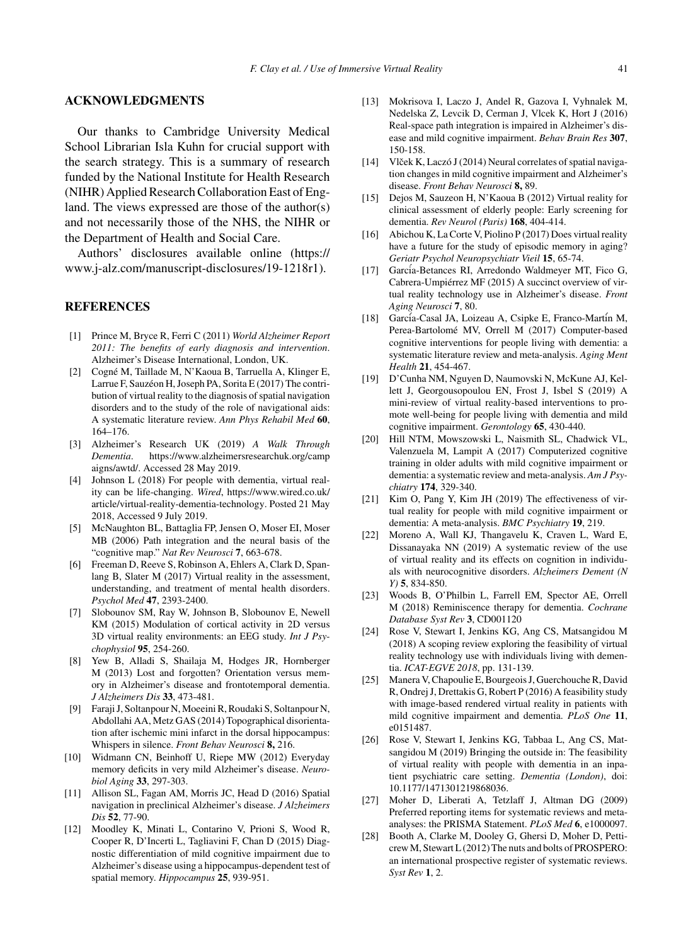#### **ACKNOWLEDGMENTS**

Our thanks to Cambridge University Medical School Librarian Isla Kuhn for crucial support with the search strategy. This is a summary of research funded by the National Institute for Health Research (NIHR) Applied Research Collaboration East of England. The views expressed are those of the author(s) and not necessarily those of the NHS, the NIHR or the Department of Health and Social Care.

Authors' disclosures available online ([https://](https://www.j-alz.com/manuscript-disclosures/19-1218r1) [www.j-alz.com/manuscript-disclosures/19-1218r1\)](https://www.j-alz.com/manuscript-disclosures/19-1218r1).

#### **REFERENCES**

- [1] Prince M, Bryce R, Ferri C (2011) *World Alzheimer Report 2011: The benefits of early diagnosis and intervention*. Alzheimer's Disease International, London, UK.
- [2] Cogné M, Taillade M, N'Kaoua B, Tarruella A, Klinger E, Larrue F, Sauzéon H, Joseph PA, Sorita E (2017) The contribution of virtual reality to the diagnosis of spatial navigation disorders and to the study of the role of navigational aids: A systematic literature review. *Ann Phys Rehabil Med* **60**, 164–176.
- [3] Alzheimer's Research UK (2019) *A Walk Through Dementia*. [https://www.alzheimersresearchuk.org/camp](https://www.alzheimersresearchuk.org/campaigns/awtd/) [aigns/awtd/.](https://www.alzheimersresearchuk.org/campaigns/awtd/) Accessed 28 May 2019.
- [4] Johnson L (2018) For people with dementia, virtual reality can be life-changing. *Wired*, [https://www.wired.co.uk/](https://www.wired.co.uk/article/virtual-reality-dementia-technology) [article/virtual-reality-dementia-technology.](https://www.wired.co.uk/article/virtual-reality-dementia-technology) Posted 21 May 2018, Accessed 9 July 2019.
- [5] McNaughton BL, Battaglia FP, Jensen O, Moser EI, Moser MB (2006) Path integration and the neural basis of the "cognitive map." *Nat Rev Neurosci* **7**, 663-678.
- [6] Freeman D, Reeve S, Robinson A, Ehlers A, Clark D, Spanlang B, Slater M (2017) Virtual reality in the assessment, understanding, and treatment of mental health disorders. *Psychol Med* **47**, 2393-2400.
- [7] Slobounov SM, Ray W, Johnson B, Slobounov E, Newell KM (2015) Modulation of cortical activity in 2D versus 3D virtual reality environments: an EEG study. *Int J Psychophysiol* **95**, 254-260.
- [8] Yew B, Alladi S, Shailaja M, Hodges JR, Hornberger M (2013) Lost and forgotten? Orientation versus memory in Alzheimer's disease and frontotemporal dementia. *J Alzheimers Dis* **33**, 473-481.
- [9] Faraji J, Soltanpour N, Moeeini R, Roudaki S, Soltanpour N, Abdollahi AA, Metz GAS (2014) Topographical disorientation after ischemic mini infarct in the dorsal hippocampus: Whispers in silence. *Front Behav Neurosci* **8,** 216.
- [10] Widmann CN, Beinhoff U, Riepe MW (2012) Everyday memory deficits in very mild Alzheimer's disease. *Neurobiol Aging* **33**, 297-303.
- [11] Allison SL, Fagan AM, Morris JC, Head D (2016) Spatial navigation in preclinical Alzheimer's disease. *J Alzheimers Dis* **52**, 77-90.
- [12] Moodley K, Minati L, Contarino V, Prioni S, Wood R, Cooper R, D'Incerti L, Tagliavini F, Chan D (2015) Diagnostic differentiation of mild cognitive impairment due to Alzheimer's disease using a hippocampus-dependent test of spatial memory. *Hippocampus* **25**, 939-951.
- [13] Mokrisova I, Laczo J, Andel R, Gazova I, Vyhnalek M, Nedelska Z, Levcik D, Cerman J, Vlcek K, Hort J (2016) Real-space path integration is impaired in Alzheimer's disease and mild cognitive impairment. *Behav Brain Res* **307**, 150-158.
- [14] Vlček K, Laczó J (2014) Neural correlates of spatial navigation changes in mild cognitive impairment and Alzheimer's disease. *Front Behav Neurosci* **8,** 89.
- [15] Dejos M, Sauzeon H, N'Kaoua B (2012) Virtual reality for clinical assessment of elderly people: Early screening for dementia. *Rev Neurol (Paris)* **168**, 404-414.
- [16] Abichou K, La Corte V, Piolino P (2017) Does virtual reality have a future for the study of episodic memory in aging? *Geriatr Psychol Neuropsychiatr Vieil* **15**, 65-74.
- [17] García-Betances RI, Arredondo Waldmeyer MT, Fico G, Cabrera-Umpiérrez MF (2015) A succinct overview of virtual reality technology use in Alzheimer's disease. *Front Aging Neurosci* **7**, 80.
- [18] García-Casal JA, Loizeau A, Csipke E, Franco-Martín M, Perea-Bartolomé MV, Orrell M (2017) Computer-based cognitive interventions for people living with dementia: a systematic literature review and meta-analysis. *Aging Ment Health* **21**, 454-467.
- [19] D'Cunha NM, Nguyen D, Naumovski N, McKune AJ, Kellett J, Georgousopoulou EN, Frost J, Isbel S (2019) A mini-review of virtual reality-based interventions to promote well-being for people living with dementia and mild cognitive impairment. *Gerontology* **65**, 430-440.
- [20] Hill NTM, Mowszowski L, Naismith SL, Chadwick VL, Valenzuela M, Lampit A (2017) Computerized cognitive training in older adults with mild cognitive impairment or dementia: a systematic review and meta-analysis. *Am J Psychiatry* **174**, 329-340.
- [21] Kim O, Pang Y, Kim JH (2019) The effectiveness of virtual reality for people with mild cognitive impairment or dementia: A meta-analysis. *BMC Psychiatry* **19**, 219.
- [22] Moreno A, Wall KJ, Thangavelu K, Craven L, Ward E, Dissanayaka NN (2019) A systematic review of the use of virtual reality and its effects on cognition in individuals with neurocognitive disorders. *Alzheimers Dement (N Y)* **5**, 834-850.
- [23] Woods B, O'Philbin L, Farrell EM, Spector AE, Orrell M (2018) Reminiscence therapy for dementia. *Cochrane Database Syst Rev* **3**, CD001120
- [24] Rose V, Stewart I, Jenkins KG, Ang CS, Matsangidou M (2018) A scoping review exploring the feasibility of virtual reality technology use with individuals living with dementia. *ICAT-EGVE 2018*, pp. 131-139.
- [25] Manera V, Chapoulie E, Bourgeois J, Guerchouche R, David R, Ondrej J, Drettakis G, Robert P (2016) A feasibility study with image-based rendered virtual reality in patients with mild cognitive impairment and dementia. *PLoS One* **11**, e0151487.
- [26] Rose V, Stewart I, Jenkins KG, Tabbaa L, Ang CS, Matsangidou M (2019) Bringing the outside in: The feasibility of virtual reality with people with dementia in an inpatient psychiatric care setting. *Dementia (London)*, doi: 10.1177/1471301219868036.
- [27] Moher D, Liberati A, Tetzlaff J, Altman DG (2009) Preferred reporting items for systematic reviews and metaanalyses: the PRISMA Statement. *PLoS Med* **6**, e1000097.
- [28] Booth A, Clarke M, Dooley G, Ghersi D, Moher D, Petticrew M, Stewart L (2012) The nuts and bolts of PROSPERO: an international prospective register of systematic reviews. *Syst Rev* **1**, 2.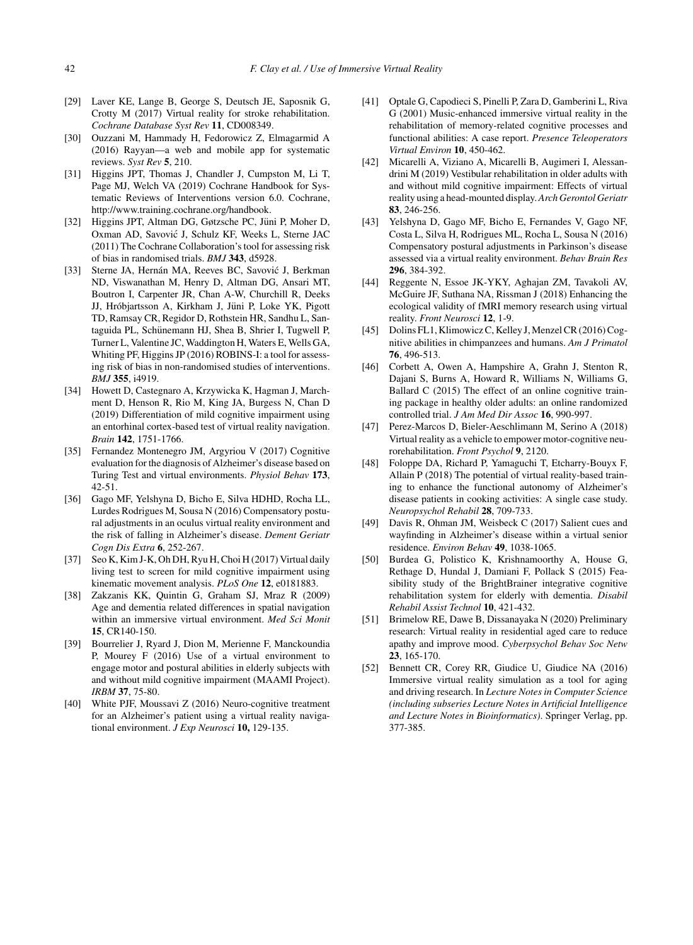- [29] Laver KE, Lange B, George S, Deutsch JE, Saposnik G, Crotty M (2017) Virtual reality for stroke rehabilitation. *Cochrane Database Syst Rev* **11**, CD008349.
- [30] Ouzzani M, Hammady H, Fedorowicz Z, Elmagarmid A (2016) Rayyan—a web and mobile app for systematic reviews. *Syst Rev* **5**, 210.
- [31] Higgins JPT, Thomas J, Chandler J, Cumpston M, Li T, Page MJ, Welch VA (2019) Cochrane Handbook for Systematic Reviews of Interventions version 6.0. Cochrane, <http://www.training.cochrane.org/handbook>.
- [32] Higgins JPT, Altman DG, Gøtzsche PC, Jüni P, Moher D, Oxman AD, Savovic J, Schulz KF, Weeks L, Sterne JAC ´ (2011) The Cochrane Collaboration's tool for assessing risk of bias in randomised trials. *BMJ* **343**, d5928.
- [33] Sterne JA, Hernán MA, Reeves BC, Savović J, Berkman ND, Viswanathan M, Henry D, Altman DG, Ansari MT, Boutron I, Carpenter JR, Chan A-W, Churchill R, Deeks JJ, Hróbjartsson A, Kirkham J, Jüni P, Loke YK, Pigott TD, Ramsay CR, Regidor D, Rothstein HR, Sandhu L, Santaguida PL, Schünemann HJ, Shea B, Shrier I, Tugwell P, Turner L, Valentine JC, Waddington H, Waters E, Wells GA, Whiting PF, Higgins JP (2016) ROBINS-I: a tool for assessing risk of bias in non-randomised studies of interventions. *BMJ* **355**, i4919.
- [34] Howett D, Castegnaro A, Krzywicka K, Hagman J, Marchment D, Henson R, Rio M, King JA, Burgess N, Chan D (2019) Differentiation of mild cognitive impairment using an entorhinal cortex-based test of virtual reality navigation. *Brain* **142**, 1751-1766.
- [35] Fernandez Montenegro JM, Argyriou V (2017) Cognitive evaluation for the diagnosis of Alzheimer's disease based on Turing Test and virtual environments. *Physiol Behav* **173**, 42-51.
- [36] Gago MF, Yelshyna D, Bicho E, Silva HDHD, Rocha LL, Lurdes Rodrigues M, Sousa N (2016) Compensatory postural adjustments in an oculus virtual reality environment and the risk of falling in Alzheimer's disease. *Dement Geriatr Cogn Dis Extra* **6**, 252-267.
- [37] Seo K, Kim J-K, Oh DH, Ryu H, Choi H (2017) Virtual daily living test to screen for mild cognitive impairment using kinematic movement analysis. *PLoS One* **12**, e0181883.
- [38] Zakzanis KK, Quintin G, Graham SJ, Mraz R (2009) Age and dementia related differences in spatial navigation within an immersive virtual environment. *Med Sci Monit* **15**, CR140-150.
- [39] Bourrelier J, Ryard J, Dion M, Merienne F, Manckoundia P, Mourey F (2016) Use of a virtual environment to engage motor and postural abilities in elderly subjects with and without mild cognitive impairment (MAAMI Project). *IRBM* **37**, 75-80.
- [40] White PJF, Moussavi Z (2016) Neuro-cognitive treatment for an Alzheimer's patient using a virtual reality navigational environment. *J Exp Neurosci* **10,** 129-135.
- [41] Optale G, Capodieci S, Pinelli P, Zara D, Gamberini L, Riva G (2001) Music-enhanced immersive virtual reality in the rehabilitation of memory-related cognitive processes and functional abilities: A case report. *Presence Teleoperators Virtual Environ* **10**, 450-462.
- [42] Micarelli A, Viziano A, Micarelli B, Augimeri I, Alessandrini M (2019) Vestibular rehabilitation in older adults with and without mild cognitive impairment: Effects of virtual reality using a head-mounted display. *Arch Gerontol Geriatr* **83**, 246-256.
- [43] Yelshyna D, Gago MF, Bicho E, Fernandes V, Gago NF, Costa L, Silva H, Rodrigues ML, Rocha L, Sousa N (2016) Compensatory postural adjustments in Parkinson's disease assessed via a virtual reality environment. *Behav Brain Res* **296**, 384-392.
- [44] Reggente N, Essoe JK-YKY, Aghajan ZM, Tavakoli AV, McGuire JF, Suthana NA, Rissman J (2018) Enhancing the ecological validity of fMRI memory research using virtual reality. *Front Neurosci* **12**, 1-9.
- [45] Dolins FL1, Klimowicz C, Kelley J, Menzel CR (2016) Cognitive abilities in chimpanzees and humans. *Am J Primatol* **76**, 496-513.
- [46] Corbett A, Owen A, Hampshire A, Grahn J, Stenton R, Dajani S, Burns A, Howard R, Williams N, Williams G, Ballard C (2015) The effect of an online cognitive training package in healthy older adults: an online randomized controlled trial. *J Am Med Dir Assoc* **16**, 990-997.
- [47] Perez-Marcos D, Bieler-Aeschlimann M, Serino A (2018) Virtual reality as a vehicle to empower motor-cognitive neurorehabilitation. *Front Psychol* **9**, 2120.
- [48] Foloppe DA, Richard P, Yamaguchi T, Etcharry-Bouyx F, Allain P (2018) The potential of virtual reality-based training to enhance the functional autonomy of Alzheimer's disease patients in cooking activities: A single case study. *Neuropsychol Rehabil* **28**, 709-733.
- [49] Davis R, Ohman JM, Weisbeck C (2017) Salient cues and wayfinding in Alzheimer's disease within a virtual senior residence. *Environ Behav* **49**, 1038-1065.
- [50] Burdea G, Polistico K, Krishnamoorthy A, House G, Rethage D, Hundal J, Damiani F, Pollack S (2015) Feasibility study of the BrightBrainer integrative cognitive rehabilitation system for elderly with dementia. *Disabil Rehabil Assist Technol* **10**, 421-432.
- [51] Brimelow RE, Dawe B, Dissanayaka N (2020) Preliminary research: Virtual reality in residential aged care to reduce apathy and improve mood. *Cyberpsychol Behav Soc Netw* **23**, 165-170.
- [52] Bennett CR, Corey RR, Giudice U, Giudice NA (2016) Immersive virtual reality simulation as a tool for aging and driving research. In *Lecture Notes in Computer Science (including subseries Lecture Notes in Artificial Intelligence and Lecture Notes in Bioinformatics)*. Springer Verlag, pp. 377-385.